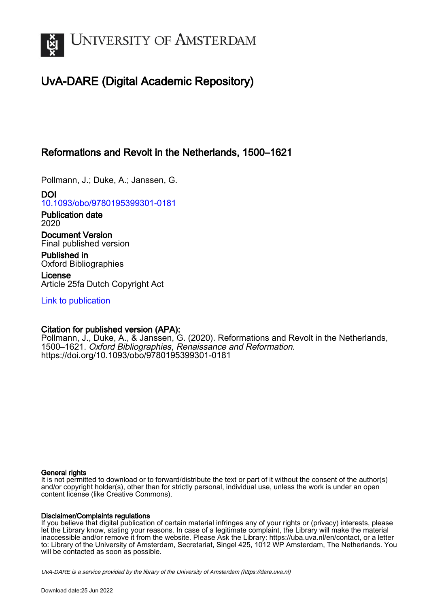

# UvA-DARE (Digital Academic Repository)

# Reformations and Revolt in the Netherlands, 1500–1621

Pollmann, J.; Duke, A.; Janssen, G.

DOI [10.1093/obo/9780195399301-0181](https://doi.org/10.1093/obo/9780195399301-0181)

Publication date 2020

Document Version Final published version

Published in Oxford Bibliographies

License Article 25fa Dutch Copyright Act

[Link to publication](https://dare.uva.nl/personal/pure/en/publications/reformations-and-revolt-in-the-netherlands-15001621(f43d062e-5742-4e11-82f4-4f737f98764c).html)

## Citation for published version (APA):

Pollmann, J., Duke, A., & Janssen, G. (2020). Reformations and Revolt in the Netherlands, 1500–1621. Oxford Bibliographies, Renaissance and Reformation. <https://doi.org/10.1093/obo/9780195399301-0181>

#### General rights

It is not permitted to download or to forward/distribute the text or part of it without the consent of the author(s) and/or copyright holder(s), other than for strictly personal, individual use, unless the work is under an open content license (like Creative Commons).

#### Disclaimer/Complaints regulations

If you believe that digital publication of certain material infringes any of your rights or (privacy) interests, please let the Library know, stating your reasons. In case of a legitimate complaint, the Library will make the material inaccessible and/or remove it from the website. Please Ask the Library: https://uba.uva.nl/en/contact, or a letter to: Library of the University of Amsterdam, Secretariat, Singel 425, 1012 WP Amsterdam, The Netherlands. You will be contacted as soon as possible.

UvA-DARE is a service provided by the library of the University of Amsterdam (http*s*://dare.uva.nl)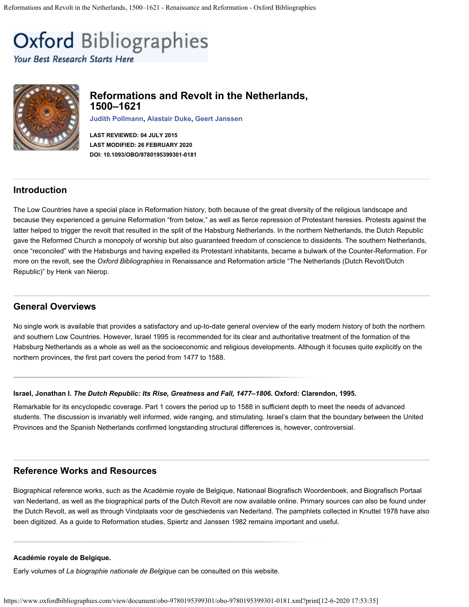<span id="page-1-0"></span>**Oxford Bibliographies** 

Your Best Research Starts Here



## **Reformations and Revolt in the Netherlands, 1500–1621**

**[Judith Pollmann](http://hum.leiden.edu/history/staff/pollmann.html), [Alastair Duke](https://www.oxfordbibliographies.com/ViewContributor/document/obo-9780195399301/obo-9780195399301-0181.xml?id=con4117), [Geert Janssen](https://www.uva.nl/en/profile/j/a/g.h.janssen/g.h.janssen.html?origin=8OwEuQ4wROigyRZ9IrYdnQ&1570198793493)**

**LAST REVIEWED: 04 JULY 2015 LAST MODIFIED: 26 FEBRUARY 2020 DOI: 10.1093/OBO/9780195399301-0181**

## **Introduction**

The Low Countries have a special place in Reformation history, both because of the great diversity of the religious landscape and because they experienced a genuine Reformation "from below," as well as fierce repression of Protestant heresies. Protests against the latter helped to trigger the revolt that resulted in the split of the Habsburg Netherlands. In the northern Netherlands, the Dutch Republic gave the Reformed Church a monopoly of worship but also guaranteed freedom of conscience to dissidents. The southern Netherlands, once "reconciled" with the Habsburgs and having expelled its Protestant inhabitants, became a bulwark of the Counter-Reformation. For more on the revolt, see the *Oxford Bibliographies* in Renaissance and Reformation article ["The Netherlands \(Dutch Revolt/Dutch](http://oxfordbibliographiesonline.com/view/document/obo-9780195399301/obo-9780195399301-0146.xml) [Republic\)"](http://oxfordbibliographiesonline.com/view/document/obo-9780195399301/obo-9780195399301-0146.xml) by Henk van Nierop.

## **General Overviews**

No single work is available that provides a satisfactory and up-to-date general overview of the early modern history of both the northern and southern Low Countries. However, [Israel 1995](https://www.oxfordbibliographies.com/view/document/obo-9780195399301/obo-9780195399301-0181.xml#obo-9780195399301-0181-bibItem-0001) is recommended for its clear and authoritative treatment of the formation of the Habsburg Netherlands as a whole as well as the socioeconomic and religious developments. Although it focuses quite explicitly on the northern provinces, the first part covers the period from 1477 to 1588.

#### **Israel, Jonathan I.** *The Dutch Republic: Its Rise, Greatness and Fall, 1477–1806***. Oxford: Clarendon, 1995.**

Remarkable for its encyclopedic coverage. Part 1 covers the period up to 1588 in sufficient depth to meet the needs of advanced students. The discussion is invariably well informed, wide ranging, and stimulating. Israel's claim that the boundary between the United Provinces and the Spanish Netherlands confirmed longstanding structural differences is, however, controversial.

## **Reference Works and Resources**

Biographical reference works, such as the [Académie royale de Belgique](https://www.oxfordbibliographies.com/view/document/obo-9780195399301/obo-9780195399301-0181.xml#obo-9780195399301-0181-bibItem-0002), [Nationaal Biografisch Woordenboek](https://www.oxfordbibliographies.com/view/document/obo-9780195399301/obo-9780195399301-0181.xml#obo-9780195399301-0181-bibItem-0007), and [Biografisch Portaal](https://www.oxfordbibliographies.com/view/document/obo-9780195399301/obo-9780195399301-0181.xml#obo-9780195399301-0181-bibItem-0003) [van Nederland,](https://www.oxfordbibliographies.com/view/document/obo-9780195399301/obo-9780195399301-0181.xml#obo-9780195399301-0181-bibItem-0003) as well as the biographical parts of the [Dutch Revolt](https://www.oxfordbibliographies.com/view/document/obo-9780195399301/obo-9780195399301-0181.xml#obo-9780195399301-0181-bibItem-0005) are now available online. Primary sources can also be found under the [Dutch Revolt](https://www.oxfordbibliographies.com/view/document/obo-9780195399301/obo-9780195399301-0181.xml#obo-9780195399301-0181-bibItem-0005), as well as through [Vindplaats voor de geschiedenis van Nederland.](https://www.oxfordbibliographies.com/view/document/obo-9780195399301/obo-9780195399301-0181.xml#obo-9780195399301-0181-bibItem-0009) The pamphlets collected in [Knuttel 1978](https://www.oxfordbibliographies.com/view/document/obo-9780195399301/obo-9780195399301-0181.xml#obo-9780195399301-0181-bibItem-0006) have also been digitized. As a guide to Reformation studies, [Spiertz and Janssen 1982](https://www.oxfordbibliographies.com/view/document/obo-9780195399301/obo-9780195399301-0181.xml#obo-9780195399301-0181-bibItem-0008) remains important and useful.

#### **[Académie royale de Belgique.](http://www.academieroyale.be/)**

Early volumes of *La biographie nationale de Belgique* can be consulted on this website.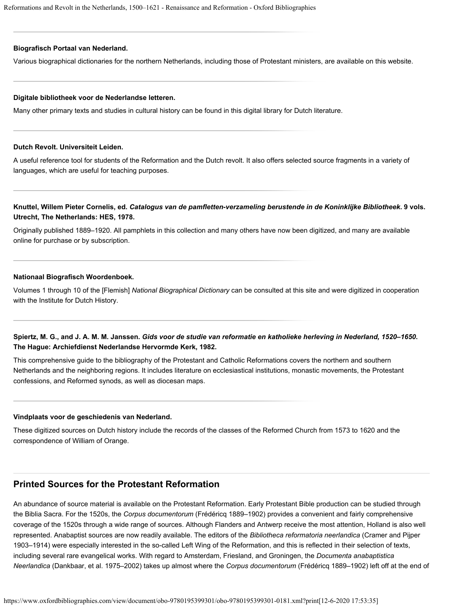#### **[Biografisch Portaal van Nederland.](http://www.biografischportaal.nl/)**

Various biographical dictionaries for the northern Netherlands, including those of Protestant ministers, are available on this website.

#### **[Digitale bibliotheek voor de Nederlandse letteren.](http://www.dbnl.org/)**

Many other primary texts and studies in cultural history can be found in this digital library for Dutch literature.

#### **[Dutch Revolt.](http://dutchrevolt.leidenuniv.nl/) Universiteit Leiden.**

A useful reference tool for students of the Reformation and the Dutch revolt. It also offers selected source fragments in a variety of languages, which are useful for teaching purposes.

#### **Knuttel, Willem Pieter Cornelis, ed.** *Catalogus van de pamfletten-verzameling berustende in de Koninklijke Bibliotheek***. 9 vols. Utrecht, The Netherlands: HES, 1978.**

Originally published 1889–1920. All pamphlets in this collection and many others have now been digitized, and many are available [online](http://catalogi.kb.nl/) for purchase or by subscription.

#### **[Nationaal Biografisch Woordenboek.](http://www.kvab.be/publicaties/nbw.aspx)**

Volumes 1 through 10 of the [Flemish] *National Biographical Dictionary* can be consulted at this site and were digitized in cooperation with the Institute for Dutch History.

### **Spiertz, M. G., and J. A. M. M. Janssen.** *Gids voor de studie van reformatie en katholieke herleving in Nederland, 1520–1650***. The Hague: Archiefdienst Nederlandse Hervormde Kerk, 1982.**

This comprehensive guide to the bibliography of the Protestant and Catholic Reformations covers the northern and southern Netherlands and the neighboring regions. It includes literature on ecclesiastical institutions, monastic movements, the Protestant confessions, and Reformed synods, as well as diocesan maps.

#### **[Vindplaats voor de geschiedenis van Nederland](http://www.historici.nl/).**

These digitized sources on Dutch history include the records of the classes of the Reformed Church from 1573 to 1620 and the correspondence of William of Orange.

## **Printed Sources for the Protestant Reformation**

An abundance of source material is available on the Protestant Reformation. Early Protestant Bible production can be studied through the [Biblia Sacra.](https://www.oxfordbibliographies.com/view/document/obo-9780195399301/obo-9780195399301-0181.xml#obo-9780195399301-0181-bibItem-0010) For the 1520s, the *Corpus documentorum* [\(Frédéricq 1889–1902\)](https://www.oxfordbibliographies.com/view/document/obo-9780195399301/obo-9780195399301-0181.xml#obo-9780195399301-0181-bibItem-0013) provides a convenient and fairly comprehensive coverage of the 1520s through a wide range of sources. Although Flanders and Antwerp receive the most attention, Holland is also well represented. Anabaptist sources are now readily available. The editors of the *Bibliotheca reformatoria neerlandica* ([Cramer and Pijper](https://www.oxfordbibliographies.com/view/document/obo-9780195399301/obo-9780195399301-0181.xml#obo-9780195399301-0181-bibItem-0011) [1903–1914\)](https://www.oxfordbibliographies.com/view/document/obo-9780195399301/obo-9780195399301-0181.xml#obo-9780195399301-0181-bibItem-0011) were especially interested in the so-called Left Wing of the Reformation, and this is reflected in their selection of texts, including several rare evangelical works. With regard to Amsterdam, Friesland, and Groningen, the *Documenta anabaptistica Neerlandica* [\(Dankbaar, et al. 1975–2002](https://www.oxfordbibliographies.com/view/document/obo-9780195399301/obo-9780195399301-0181.xml#obo-9780195399301-0181-bibItem-0012)) takes up almost where the *Corpus documentorum* [\(Frédéricq 1889–1902\)](https://www.oxfordbibliographies.com/view/document/obo-9780195399301/obo-9780195399301-0181.xml#obo-9780195399301-0181-bibItem-0013) left off at the end of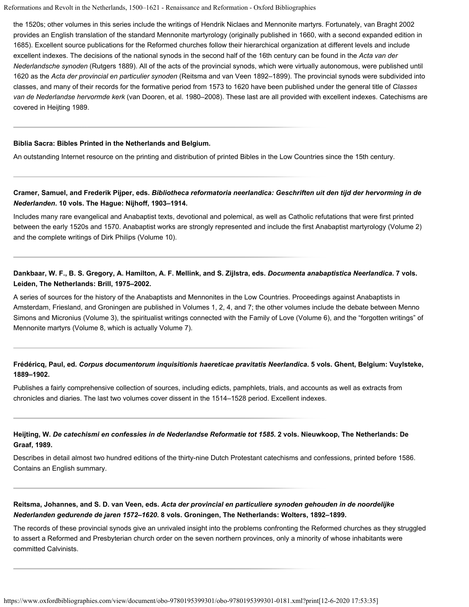the 1520s; other volumes in this series include the writings of Hendrik Niclaes and Mennonite martyrs. Fortunately, [van Braght 2002](https://www.oxfordbibliographies.com/view/document/obo-9780195399301/obo-9780195399301-0181.xml#obo-9780195399301-0181-bibItem-0017) provides an English translation of the standard Mennonite martyrology (originally published in 1660, with a second expanded edition in 1685). Excellent source publications for the Reformed churches follow their hierarchical organization at different levels and include excellent indexes. The decisions of the national synods in the second half of the 16th century can be found in the *Acta van der Nederlandsche synoden* [\(Rutgers 1889](https://www.oxfordbibliographies.com/view/document/obo-9780195399301/obo-9780195399301-0181.xml#obo-9780195399301-0181-bibItem-0016)). All of the acts of the provincial synods, which were virtually autonomous, were published until 1620 as the *Acta der provincial en particulier synoden* [\(Reitsma and van Veen 1892–1899](https://www.oxfordbibliographies.com/view/document/obo-9780195399301/obo-9780195399301-0181.xml#obo-9780195399301-0181-bibItem-0015)). The provincial synods were subdivided into classes, and many of their records for the formative period from 1573 to 1620 have been published under the general title of *Classes van de Nederlandse hervormde kerk* [\(van Dooren, et al. 1980–2008](https://www.oxfordbibliographies.com/view/document/obo-9780195399301/obo-9780195399301-0181.xml#obo-9780195399301-0181-bibItem-0018)). These last are all provided with excellent indexes. Catechisms are covered in [Heijting 1989](https://www.oxfordbibliographies.com/view/document/obo-9780195399301/obo-9780195399301-0181.xml#obo-9780195399301-0181-bibItem-0014).

#### **[Biblia Sacra: Bibles Printed in the Netherlands and Belgium.](http://www.bibliasacra.nl/)**

An outstanding Internet resource on the printing and distribution of printed Bibles in the Low Countries since the 15th century.

#### **Cramer, Samuel, and Frederik Pijper, eds.** *Bibliotheca reformatoria neerlandica: Geschriften uit den tijd der hervorming in de Nederlanden***. 10 vols. The Hague: Nijhoff, 1903–1914.**

Includes many rare evangelical and Anabaptist texts, devotional and polemical, as well as Catholic refutations that were first printed between the early 1520s and 1570. Anabaptist works are strongly represented and include the first Anabaptist martyrology (Volume 2) and the complete writings of Dirk Philips (Volume 10).

### **Dankbaar, W. F., B. S. Gregory, A. Hamilton, A. F. Mellink, and S. Zijlstra, eds.** *Documenta anabaptistica Neerlandica***. 7 vols. Leiden, The Netherlands: Brill, 1975–2002.**

A series of sources for the history of the Anabaptists and Mennonites in the Low Countries. Proceedings against Anabaptists in Amsterdam, Friesland, and Groningen are published in Volumes 1, 2, 4, and 7; the other volumes include the debate between Menno Simons and Micronius (Volume 3), the spiritualist writings connected with the Family of Love (Volume 6), and the "forgotten writings" of Mennonite martyrs (Volume 8, which is actually Volume 7).

#### **Frédéricq, Paul, ed.** *Corpus documentorum inquisitionis haereticae pravitatis Neerlandica***. 5 vols. Ghent, Belgium: Vuylsteke, 1889–1902.**

Publishes a fairly comprehensive collection of sources, including edicts, pamphlets, trials, and accounts as well as extracts from chronicles and diaries. The last two volumes cover dissent in the 1514–1528 period. Excellent indexes.

#### **Heijting, W.** *De catechismi en confessies in de Nederlandse Reformatie tot 1585***. 2 vols. Nieuwkoop, The Netherlands: De Graaf, 1989.**

Describes in detail almost two hundred editions of the thirty-nine Dutch Protestant catechisms and confessions, printed before 1586. Contains an English summary.

#### **Reitsma, Johannes, and S. D. van Veen, eds.** *Acta der provincial en particuliere synoden gehouden in de noordelijke Nederlanden gedurende de jaren 1572–1620***. 8 vols. Groningen, The Netherlands: Wolters, 1892–1899.**

The records of these provincial synods give an unrivaled insight into the problems confronting the Reformed churches as they struggled to assert a Reformed and Presbyterian church order on the seven northern provinces, only a minority of whose inhabitants were committed Calvinists.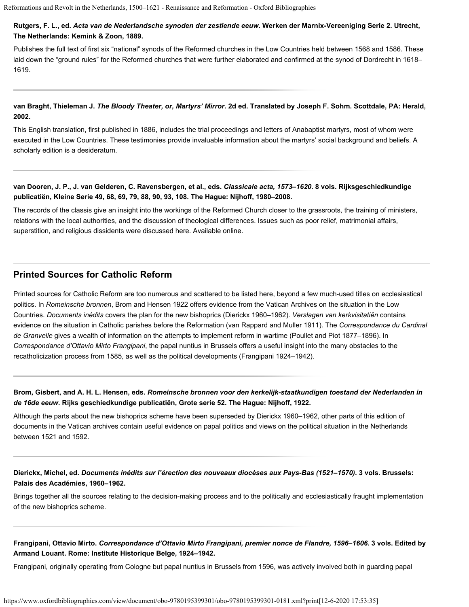#### **Rutgers, F. L., ed.** *Acta van de Nederlandsche synoden der zestiende eeuw***. Werken der Marnix-Vereeniging Serie 2. Utrecht, The Netherlands: Kemink & Zoon, 1889.**

Publishes the full text of first six "national" synods of the Reformed churches in the Low Countries held between 1568 and 1586. These laid down the "ground rules" for the Reformed churches that were further elaborated and confirmed at the synod of Dordrecht in 1618– 1619.

### **van Braght, Thieleman J.** *The Bloody Theater, or, Martyrs' Mirror***. 2d ed. Translated by Joseph F. Sohm. Scottdale, PA: Herald, 2002.**

This English translation, first published in 1886, includes the trial proceedings and letters of Anabaptist martyrs, most of whom were executed in the Low Countries. These testimonies provide invaluable information about the martyrs' social background and beliefs. A scholarly edition is a desideratum.

### **van Dooren, J. P., J. van Gelderen, C. Ravensbergen, et al., eds.** *Classicale acta, 1573–1620***. 8 vols. Rijksgeschiedkundige publicatiën, Kleine Serie 49, 68, 69, 79, 88, 90, 93, 108. The Hague: Nijhoff, 1980–2008.**

The records of the classis give an insight into the workings of the Reformed Church closer to the grassroots, the training of ministers, relations with the local authorities, and the discussion of theological differences. Issues such as poor relief, matrimonial affairs, superstition, and religious dissidents were discussed here. Available [online](http://www.historici.nl/retroboeken/classicale_acta).

## **Printed Sources for Catholic Reform**

Printed sources for Catholic Reform are too numerous and scattered to be listed here, beyond a few much-used titles on ecclesiastical politics. In *Romeinsche bronnen*, [Brom and Hensen 1922](https://www.oxfordbibliographies.com/view/document/obo-9780195399301/obo-9780195399301-0181.xml#obo-9780195399301-0181-bibItem-0019) offers evidence from the Vatican Archives on the situation in the Low Countries. *Documents inédits* covers the plan for the new bishoprics [\(Dierickx 1960–1962\)](https://www.oxfordbibliographies.com/view/document/obo-9780195399301/obo-9780195399301-0181.xml#obo-9780195399301-0181-bibItem-0020). *Verslagen van kerkvisitatiën* contains evidence on the situation in Catholic parishes before the Reformation [\(van Rappard and Muller 1911\)](https://www.oxfordbibliographies.com/view/document/obo-9780195399301/obo-9780195399301-0181.xml#obo-9780195399301-0181-bibItem-0023). The *Correspondance du Cardinal de Granvelle* gives a wealth of information on the attempts to implement reform in wartime [\(Poullet and Piot 1877–1896](https://www.oxfordbibliographies.com/view/document/obo-9780195399301/obo-9780195399301-0181.xml#obo-9780195399301-0181-bibItem-0022)). In *Correspondance d'Ottavio Mirto Frangipani*, the papal nuntius in Brussels offers a useful insight into the many obstacles to the recatholicization process from 1585, as well as the political developments [\(Frangipani 1924–1942](https://www.oxfordbibliographies.com/view/document/obo-9780195399301/obo-9780195399301-0181.xml#obo-9780195399301-0181-bibItem-0021)).

### **Brom, Gisbert, and A. H. L. Hensen, eds.** *Romeinsche bronnen voor den kerkelijk-staatkundigen toestand der Nederlanden in de 16de eeuw***. Rijks geschiedkundige publicatiën, Grote serie 52. The Hague: Nijhoff, 1922.**

Although the parts about the new bishoprics scheme have been superseded by [Dierickx 1960–1962,](https://www.oxfordbibliographies.com/view/document/obo-9780195399301/obo-9780195399301-0181.xml#obo-9780195399301-0181-bibItem-0020) other parts of this edition of documents in the Vatican archives contain useful evidence on papal politics and views on the political situation in the Netherlands between 1521 and 1592.

#### **Dierickx, Michel, ed.** *Documents inédits sur l'érection des nouveaux diocèses aux Pays-Bas (1521–1570)***. 3 vols. Brussels: Palais des Académies, 1960–1962.**

Brings together all the sources relating to the decision-making process and to the politically and ecclesiastically fraught implementation of the new bishoprics scheme.

### **Frangipani, Ottavio Mirto.** *Correspondance d'Ottavio Mirto Frangipani, premier nonce de Flandre, 1596–1606***. 3 vols. Edited by Armand Louant. Rome: Institute Historique Belge, 1924–1942.**

Frangipani, originally operating from Cologne but papal nuntius in Brussels from 1596, was actively involved both in guarding papal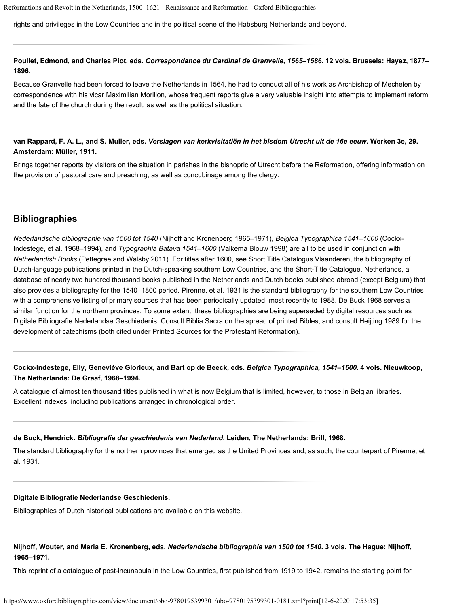rights and privileges in the Low Countries and in the political scene of the Habsburg Netherlands and beyond.

**Poullet, Edmond, and Charles Piot, eds.** *Correspondance du Cardinal de Granvelle, 1565–1586***. 12 vols. Brussels: Hayez, 1877– 1896.**

Because Granvelle had been forced to leave the Netherlands in 1564, he had to conduct all of his work as Archbishop of Mechelen by correspondence with his vicar Maximilian Morillon, whose frequent reports give a very valuable insight into attempts to implement reform and the fate of the church during the revolt, as well as the political situation.

#### **van Rappard, F. A. L., and S. Muller, eds.** *Verslagen van kerkvisitatiën in het bisdom Utrecht uit de 16e eeuw***. Werken 3e, 29. Amsterdam: Müller, 1911.**

Brings together reports by visitors on the situation in parishes in the bishopric of Utrecht before the Reformation, offering information on the provision of pastoral care and preaching, as well as concubinage among the clergy.

#### **Bibliographies**

*Nederlandsche bibliographie van 1500 tot 1540* [\(Nijhoff and Kronenberg 1965–1971](https://www.oxfordbibliographies.com/view/document/obo-9780195399301/obo-9780195399301-0181.xml#obo-9780195399301-0181-bibItem-0027)), *Belgica Typographica 1541–1600* [\(Cockx-](https://www.oxfordbibliographies.com/view/document/obo-9780195399301/obo-9780195399301-0181.xml#obo-9780195399301-0181-bibItem-0024)[Indestege, et al. 1968–1994](https://www.oxfordbibliographies.com/view/document/obo-9780195399301/obo-9780195399301-0181.xml#obo-9780195399301-0181-bibItem-0024)), and *Typographia Batava 1541–1600* [\(Valkema Blouw 1998](https://www.oxfordbibliographies.com/view/document/obo-9780195399301/obo-9780195399301-0181.xml#obo-9780195399301-0181-bibItem-0032)) are all to be used in conjunction with *Netherlandish Books* [\(Pettegree and Walsby 2011](https://www.oxfordbibliographies.com/view/document/obo-9780195399301/obo-9780195399301-0181.xml#obo-9780195399301-0181-bibItem-0028)). For titles after 1600, see [Short Title Catalogus Vlaanderen](https://www.oxfordbibliographies.com/view/document/obo-9780195399301/obo-9780195399301-0181.xml#obo-9780195399301-0181-bibItem-0031), the bibliography of Dutch-language publications printed in the Dutch-speaking southern Low Countries, and the [Short-Title Catalogue, Netherlands](https://www.oxfordbibliographies.com/view/document/obo-9780195399301/obo-9780195399301-0181.xml#obo-9780195399301-0181-bibItem-0030), a database of nearly two hundred thousand books published in the Netherlands and Dutch books published abroad (except Belgium) that also provides a bibliography for the 1540–1800 period. [Pirenne, et al. 1931](https://www.oxfordbibliographies.com/view/document/obo-9780195399301/obo-9780195399301-0181.xml#obo-9780195399301-0181-bibItem-0029) is the standard bibliography for the southern Low Countries with a comprehensive listing of primary sources that has been periodically updated, most recently to 1988. [De Buck 1968](https://www.oxfordbibliographies.com/view/document/obo-9780195399301/obo-9780195399301-0181.xml#obo-9780195399301-0181-bibItem-0025) serves a similar function for the northern provinces. To some extent, these bibliographies are being superseded by digital resources such as [Digitale Bibliografie Nederlandse Geschiedenis.](https://www.oxfordbibliographies.com/view/document/obo-9780195399301/obo-9780195399301-0181.xml#obo-9780195399301-0181-bibItem-0026) Consult [Biblia Sacra](https://www.oxfordbibliographies.com/view/document/obo-9780195399301/obo-9780195399301-0181.xml#obo-9780195399301-0181-bibItem-0010) on the spread of printed Bibles, and consult [Heijting 1989](https://www.oxfordbibliographies.com/view/document/obo-9780195399301/obo-9780195399301-0181.xml#obo-9780195399301-0181-bibItem-0014) for the development of catechisms (both cited under [Printed Sources for the Protestant Reformation](#page-1-0)).

#### **Cockx-Indestege, Elly, Geneviève Glorieux, and Bart op de Beeck, eds.** *Belgica Typographica, 1541–1600***. 4 vols. Nieuwkoop, The Netherlands: De Graaf, 1968–1994.**

A catalogue of almost ten thousand titles published in what is now Belgium that is limited, however, to those in Belgian libraries. Excellent indexes, including publications arranged in chronological order.

#### **de Buck, Hendrick.** *Bibliografie der geschiedenis van Nederland***. Leiden, The Netherlands: Brill, 1968.**

The standard bibliography for the northern provinces that emerged as the United Provinces and, as such, the counterpart of [Pirenne, et](https://www.oxfordbibliographies.com/view/document/obo-9780195399301/obo-9780195399301-0181.xml#obo-9780195399301-0181-bibItem-0029) [al. 1931.](https://www.oxfordbibliographies.com/view/document/obo-9780195399301/obo-9780195399301-0181.xml#obo-9780195399301-0181-bibItem-0029)

#### **[Digitale Bibliografie Nederlandse Geschiedenis.](http://www.dbng.nl/)**

Bibliographies of Dutch historical publications are available on this website.

#### **Nijhoff, Wouter, and Maria E. Kronenberg, eds.** *Nederlandsche bibliographie van 1500 tot 1540***. 3 vols. The Hague: Nijhoff, 1965–1971.**

This reprint of a catalogue of post-incunabula in the Low Countries, first published from 1919 to 1942, remains the starting point for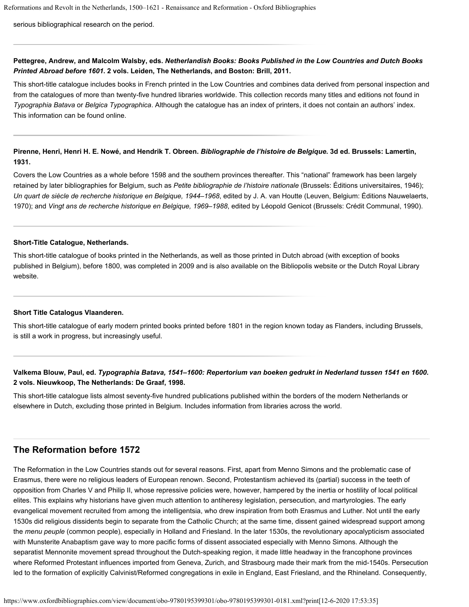serious bibliographical research on the period.

#### **Pettegree, Andrew, and Malcolm Walsby, eds.** *Netherlandish Books: Books Published in the Low Countries and Dutch Books Printed Abroad before 1601***. 2 vols. Leiden, The Netherlands, and Boston: Brill, 2011.**

This short-title catalogue includes books in French printed in the Low Countries and combines data derived from personal inspection and from the catalogues of more than twenty-five hundred libraries worldwide. This collection records many titles and editions not found in *Typographia Batava* or *Belgica Typographica*. Although the catalogue has an index of printers, it does not contain an authors' index. This information can be found [online](http://www.ustc.ac.uk/).

#### **Pirenne, Henri, Henri H. E. Nowé, and Hendrik T. Obreen.** *Bibliographie de l'histoire de Belgique***. 3d ed. Brussels: Lamertin, 1931.**

Covers the Low Countries as a whole before 1598 and the southern provinces thereafter. This "national" framework has been largely retained by later bibliographies for Belgium, such as *Petite bibliographie de l'histoire nationale* (Brussels: Éditions universitaires, 1946); *Un quart de siècle de recherche historique en Belgique, 1944–1968*, edited by J. A. van Houtte (Leuven, Belgium: Éditions Nauwelaerts, 1970); and *Vingt ans de recherche historique en Belgique, 1969–1988*, edited by Léopold Genicot (Brussels: Crédit Communal, 1990).

#### **[Short-Title Catalogue, Netherlands.](http://picarta.pica.nl/DB=3.11/LNG=EN/?COOKIE=U64873,KSTCNLogin,I20,B1996++++++,SY,NSTCN+default+login,D3.11,E05b546f0-cf0,A,H,R194.171.184.3,FY&COOKIE=U64873,KSTCNLogin,I20,B1996++++++,SY,NSTCN+default+login,D3.11,E05b546f0-cf0,A,H,R194.171.184.3,FY&COOKIE=U64873,KSTCNLogin,I20,B1996++++++,SY,NSTCN+default+login,D3.11,E05b546f0-cf0,A,H,R50.59.151.116,FY)**

This short-title catalogue of books printed in the Netherlands, as well as those printed in Dutch abroad (with exception of books published in Belgium), before 1800, was completed in 2009 and is also available on the [Bibliopolis](http://www.bibliopolis.nl/boeken/algemeen) website or the [Dutch Royal Library](http://catalogi.kb.nl/) website.

#### **[Short Title Catalogus Vlaanderen](http://www.vlaamse-erfgoedbibliotheek.be/databank/stcv).**

This short-title catalogue of early modern printed books printed before 1801 in the region known today as Flanders, including Brussels, is still a work in progress, but increasingly useful.

#### **Valkema Blouw, Paul, ed.** *Typographia Batava, 1541–1600: Repertorium van boeken gedrukt in Nederland tussen 1541 en 1600***. 2 vols. Nieuwkoop, The Netherlands: De Graaf, 1998.**

This short-title catalogue lists almost seventy-five hundred publications published within the borders of the modern Netherlands or elsewhere in Dutch, excluding those printed in Belgium. Includes information from libraries across the world.

## **The Reformation before 1572**

The Reformation in the Low Countries stands out for several reasons. First, apart from Menno Simons and the problematic case of Erasmus, there were no religious leaders of European renown. Second, Protestantism achieved its (partial) success in the teeth of opposition from Charles V and Philip II, whose repressive policies were, however, hampered by the inertia or hostility of local political elites. This explains why historians have given much attention to antiheresy legislation, persecution, and martyrologies. The early evangelical movement recruited from among the intelligentsia, who drew inspiration from both Erasmus and Luther. Not until the early 1530s did religious dissidents begin to separate from the Catholic Church; at the same time, dissent gained widespread support among the *menu peuple* (common people), especially in Holland and Friesland. In the later 1530s, the revolutionary apocalypticism associated with Munsterite Anabaptism gave way to more pacific forms of dissent associated especially with Menno Simons. Although the separatist Mennonite movement spread throughout the Dutch-speaking region, it made little headway in the francophone provinces where Reformed Protestant influences imported from Geneva, Zurich, and Strasbourg made their mark from the mid-1540s. Persecution led to the formation of explicitly Calvinist/Reformed congregations in exile in England, East Friesland, and the Rhineland. Consequently,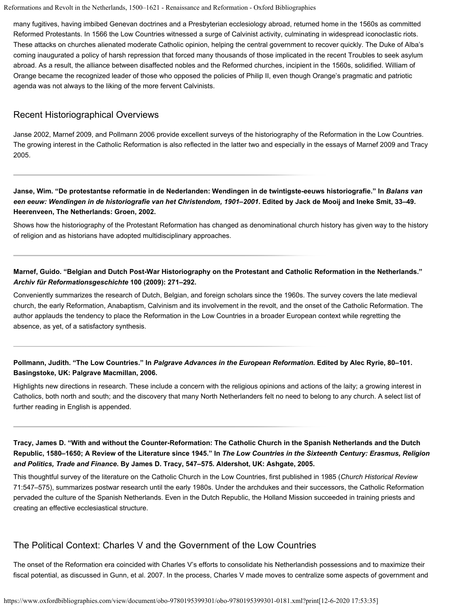many fugitives, having imbibed Genevan doctrines and a Presbyterian ecclesiology abroad, returned home in the 1560s as committed Reformed Protestants. In 1566 the Low Countries witnessed a surge of Calvinist activity, culminating in widespread iconoclastic riots. These attacks on churches alienated moderate Catholic opinion, helping the central government to recover quickly. The Duke of Alba's coming inaugurated a policy of harsh repression that forced many thousands of those implicated in the recent Troubles to seek asylum abroad. As a result, the alliance between disaffected nobles and the Reformed churches, incipient in the 1560s, solidified. William of Orange became the recognized leader of those who opposed the policies of Philip II, even though Orange's pragmatic and patriotic agenda was not always to the liking of the more fervent Calvinists.

### Recent Historiographical Overviews

[Janse 2002,](https://www.oxfordbibliographies.com/view/document/obo-9780195399301/obo-9780195399301-0181.xml#obo-9780195399301-0181-bibItem-0033) [Marnef 2009](https://www.oxfordbibliographies.com/view/document/obo-9780195399301/obo-9780195399301-0181.xml#obo-9780195399301-0181-bibItem-0034), and [Pollmann 2006](https://www.oxfordbibliographies.com/view/document/obo-9780195399301/obo-9780195399301-0181.xml#obo-9780195399301-0181-bibItem-0035) provide excellent surveys of the historiography of the Reformation in the Low Countries. The growing interest in the Catholic Reformation is also reflected in the latter two and especially in the essays of [Marnef 2009](https://www.oxfordbibliographies.com/view/document/obo-9780195399301/obo-9780195399301-0181.xml#obo-9780195399301-0181-bibItem-0034) and [Tracy](https://www.oxfordbibliographies.com/view/document/obo-9780195399301/obo-9780195399301-0181.xml#obo-9780195399301-0181-bibItem-0036) [2005.](https://www.oxfordbibliographies.com/view/document/obo-9780195399301/obo-9780195399301-0181.xml#obo-9780195399301-0181-bibItem-0036)

**Janse, Wim. "De protestantse reformatie in de Nederlanden: Wendingen in de twintigste-eeuws historiografie." In** *Balans van een eeuw: Wendingen in de historiografie van het Christendom, 1901–2001***. Edited by Jack de Mooij and Ineke Smit, 33–49. Heerenveen, The Netherlands: Groen, 2002.**

Shows how the historiography of the Protestant Reformation has changed as denominational church history has given way to the history of religion and as historians have adopted multidisciplinary approaches.

#### **Marnef, Guido. "Belgian and Dutch Post-War Historiography on the Protestant and Catholic Reformation in the Netherlands."** *Archiv für Reformationsgeschichte* **100 (2009): 271–292.**

Conveniently summarizes the research of Dutch, Belgian, and foreign scholars since the 1960s. The survey covers the late medieval church, the early Reformation, Anabaptism, Calvinism and its involvement in the revolt, and the onset of the Catholic Reformation. The author applauds the tendency to place the Reformation in the Low Countries in a broader European context while regretting the absence, as yet, of a satisfactory synthesis.

### **Pollmann, Judith. "The Low Countries." In** *Palgrave Advances in the European Reformation***. Edited by Alec Ryrie, 80–101. Basingstoke, UK: Palgrave Macmillan, 2006.**

Highlights new directions in research. These include a concern with the religious opinions and actions of the laity; a growing interest in Catholics, both north and south; and the discovery that many North Netherlanders felt no need to belong to any church. A select list of further reading in English is appended.

**Tracy, James D. "With and without the Counter-Reformation: The Catholic Church in the Spanish Netherlands and the Dutch Republic, 1580–1650; A Review of the Literature since 1945." In** *The Low Countries in the Sixteenth Century: Erasmus, Religion and Politics, Trade and Finance***. By James D. Tracy, 547–575. Aldershot, UK: Ashgate, 2005.**

This thoughtful survey of the literature on the Catholic Church in the Low Countries, first published in 1985 (*Church Historical Review* 71:547–575), summarizes postwar research until the early 1980s. Under the archdukes and their successors, the Catholic Reformation pervaded the culture of the Spanish Netherlands. Even in the Dutch Republic, the Holland Mission succeeded in training priests and creating an effective ecclesiastical structure.

## The Political Context: Charles V and the Government of the Low Countries

The onset of the Reformation era coincided with Charles V's efforts to consolidate his Netherlandish possessions and to maximize their fiscal potential, as discussed in [Gunn, et al. 2007.](https://www.oxfordbibliographies.com/view/document/obo-9780195399301/obo-9780195399301-0181.xml#obo-9780195399301-0181-bibItem-0038) In the process, Charles V made moves to centralize some aspects of government and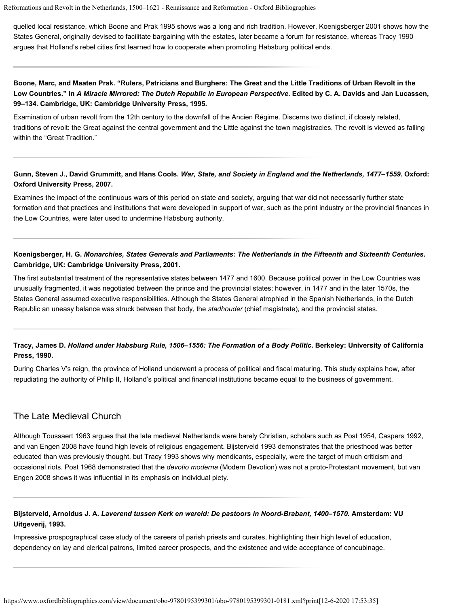quelled local resistance, which [Boone and Prak 1995](https://www.oxfordbibliographies.com/view/document/obo-9780195399301/obo-9780195399301-0181.xml#obo-9780195399301-0181-bibItem-0037) shows was a long and rich tradition. However, [Koenigsberger 2001](https://www.oxfordbibliographies.com/view/document/obo-9780195399301/obo-9780195399301-0181.xml#obo-9780195399301-0181-bibItem-0039) shows how the States General, originally devised to facilitate bargaining with the estates, later became a forum for resistance, whereas [Tracy 1990](https://www.oxfordbibliographies.com/view/document/obo-9780195399301/obo-9780195399301-0181.xml#obo-9780195399301-0181-bibItem-0040) argues that Holland's rebel cities first learned how to cooperate when promoting Habsburg political ends.

### **Boone, Marc, and Maaten Prak. "Rulers, Patricians and Burghers: The Great and the Little Traditions of Urban Revolt in the Low Countries." In** *A Miracle Mirrored: The Dutch Republic in European Perspective***. Edited by C. A. Davids and Jan Lucassen, 99–134. Cambridge, UK: Cambridge University Press, 1995.**

Examination of urban revolt from the 12th century to the downfall of the Ancien Régime. Discerns two distinct, if closely related, traditions of revolt: the Great against the central government and the Little against the town magistracies. The revolt is viewed as falling within the "Great Tradition."

#### **Gunn, Steven J., David Grummitt, and Hans Cools.** *War, State, and Society in England and the Netherlands, 1477–1559***. Oxford: Oxford University Press, 2007.**

Examines the impact of the continuous wars of this period on state and society, arguing that war did not necessarily further state formation and that practices and institutions that were developed in support of war, such as the print industry or the provincial finances in the Low Countries, were later used to undermine Habsburg authority.

#### **Koenigsberger, H. G.** *Monarchies, States Generals and Parliaments: The Netherlands in the Fifteenth and Sixteenth Centuries***. Cambridge, UK: Cambridge University Press, 2001.**

The first substantial treatment of the representative states between 1477 and 1600. Because political power in the Low Countries was unusually fragmented, it was negotiated between the prince and the provincial states; however, in 1477 and in the later 1570s, the States General assumed executive responsibilities. Although the States General atrophied in the Spanish Netherlands, in the Dutch Republic an uneasy balance was struck between that body, the *stadhouder* (chief magistrate), and the provincial states.

## **Tracy, James D.** *Holland under Habsburg Rule, 1506–1556: The Formation of a Body Politic***. Berkeley: University of California Press, 1990.**

During Charles V's reign, the province of Holland underwent a process of political and fiscal maturing. This study explains how, after repudiating the authority of Philip II, Holland's political and financial institutions became equal to the business of government.

## The Late Medieval Church

Although [Toussaert 1963](https://www.oxfordbibliographies.com/view/document/obo-9780195399301/obo-9780195399301-0181.xml#obo-9780195399301-0181-bibItem-0046) argues that the late medieval Netherlands were barely Christian, scholars such as [Post 1954](https://www.oxfordbibliographies.com/view/document/obo-9780195399301/obo-9780195399301-0181.xml#obo-9780195399301-0181-bibItem-0044), [Caspers 1992](https://www.oxfordbibliographies.com/view/document/obo-9780195399301/obo-9780195399301-0181.xml#obo-9780195399301-0181-bibItem-0042), and [van Engen 2008](https://www.oxfordbibliographies.com/view/document/obo-9780195399301/obo-9780195399301-0181.xml#obo-9780195399301-0181-bibItem-0048) have found high levels of religious engagement. [Bijsterveld 1993](https://www.oxfordbibliographies.com/view/document/obo-9780195399301/obo-9780195399301-0181.xml#obo-9780195399301-0181-bibItem-0041) demonstrates that the priesthood was better educated than was previously thought, but [Tracy 1993](https://www.oxfordbibliographies.com/view/document/obo-9780195399301/obo-9780195399301-0181.xml#obo-9780195399301-0181-bibItem-0047) shows why mendicants, especially, were the target of much criticism and occasional riots. [Post 1968](https://www.oxfordbibliographies.com/view/document/obo-9780195399301/obo-9780195399301-0181.xml#obo-9780195399301-0181-bibItem-0045) demonstrated that the *devotio moderna* (Modern Devotion) was not a proto-Protestant movement, but [van](https://www.oxfordbibliographies.com/view/document/obo-9780195399301/obo-9780195399301-0181.xml#obo-9780195399301-0181-bibItem-0048) [Engen 2008](https://www.oxfordbibliographies.com/view/document/obo-9780195399301/obo-9780195399301-0181.xml#obo-9780195399301-0181-bibItem-0048) shows it was influential in its emphasis on individual piety.

#### **Bijsterveld, Arnoldus J. A.** *Laverend tussen Kerk en wereld: De pastoors in Noord-Brabant, 1400–1570***. Amsterdam: VU Uitgeverij, 1993.**

Impressive prospographical case study of the careers of parish priests and curates, highlighting their high level of education, dependency on lay and clerical patrons, limited career prospects, and the existence and wide acceptance of concubinage.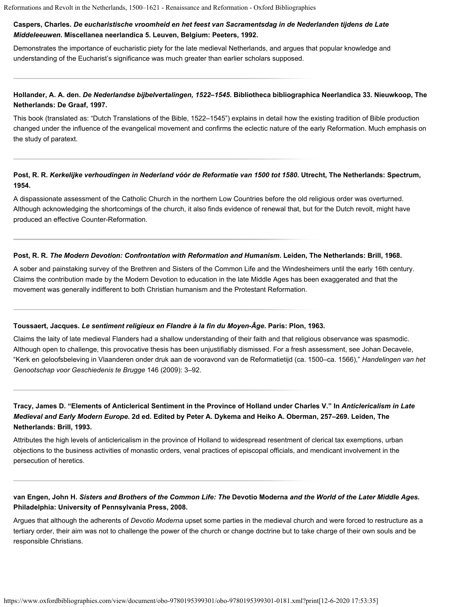#### **Caspers, Charles.** *De eucharistische vroomheid en het feest van Sacramentsdag in de Nederlanden tijdens de Late Middeleeuwen***. Miscellanea neerlandica 5. Leuven, Belgium: Peeters, 1992.**

Demonstrates the importance of eucharistic piety for the late medieval Netherlands, and argues that popular knowledge and understanding of the Eucharist's significance was much greater than earlier scholars supposed.

#### **Hollander, A. A. den.** *De Nederlandse bijbelvertalingen, 1522–1545***. Bibliotheca bibliographica Neerlandica 33. Nieuwkoop, The Netherlands: De Graaf, 1997.**

This book (translated as: "Dutch Translations of the Bible, 1522–1545") explains in detail how the existing tradition of Bible production changed under the influence of the evangelical movement and confirms the eclectic nature of the early Reformation. Much emphasis on the study of paratext.

#### **Post, R. R.** *Kerkelijke verhoudingen in Nederland vóór de Reformatie van 1500 tot 1580***. Utrecht, The Netherlands: Spectrum, 1954.**

A dispassionate assessment of the Catholic Church in the northern Low Countries before the old religious order was overturned. Although acknowledging the shortcomings of the church, it also finds evidence of renewal that, but for the Dutch revolt, might have produced an effective Counter-Reformation.

#### **Post, R. R.** *The Modern Devotion: Confrontation with Reformation and Humanism***. Leiden, The Netherlands: Brill, 1968.**

A sober and painstaking survey of the Brethren and Sisters of the Common Life and the Windesheimers until the early 16th century. Claims the contribution made by the Modern Devotion to education in the late Middle Ages has been exaggerated and that the movement was generally indifferent to both Christian humanism and the Protestant Reformation.

#### **Toussaert, Jacques.** *Le sentiment religieux en Flandre à la fin du Moyen-Âge***. Paris: Plon, 1963.**

Claims the laity of late medieval Flanders had a shallow understanding of their faith and that religious observance was spasmodic. Although open to challenge, this provocative thesis has been unjustifiably dismissed. For a fresh assessment, see Johan Decavele, "Kerk en geloofsbeleving in Vlaanderen onder druk aan de vooravond van de Reformatietijd (ca. 1500–ca. 1566)," *Handelingen van het Genootschap voor Geschiedenis te Brugge* 146 (2009): 3–92.

### **Tracy, James D. "Elements of Anticlerical Sentiment in the Province of Holland under Charles V." In** *Anticlericalism in Late Medieval and Early Modern Europe***. 2d ed. Edited by Peter A. Dykema and Heiko A. Oberman, 257–269. Leiden, The Netherlands: Brill, 1993.**

Attributes the high levels of anticlericalism in the province of Holland to widespread resentment of clerical tax exemptions, urban objections to the business activities of monastic orders, venal practices of episcopal officials, and mendicant involvement in the persecution of heretics.

#### **van Engen, John H.** *Sisters and Brothers of the Common Life: The* **Devotio Moderna** *and the World of the Later Middle Ages***. Philadelphia: University of Pennsylvania Press, 2008.**

Argues that although the adherents of *Devotio Moderna* upset some parties in the medieval church and were forced to restructure as a tertiary order, their aim was not to challenge the power of the church or change doctrine but to take charge of their own souls and be responsible Christians.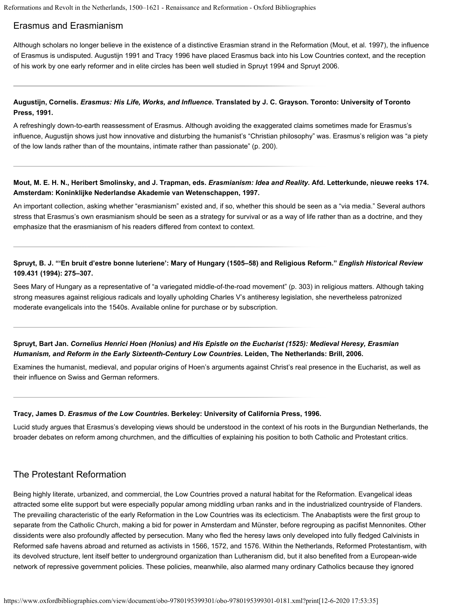## Erasmus and Erasmianism

Although scholars no longer believe in the existence of a distinctive Erasmian strand in the Reformation [\(Mout, et al. 1997](https://www.oxfordbibliographies.com/view/document/obo-9780195399301/obo-9780195399301-0181.xml#obo-9780195399301-0181-bibItem-0050)), the influence of Erasmus is undisputed. [Augustijn 1991](https://www.oxfordbibliographies.com/view/document/obo-9780195399301/obo-9780195399301-0181.xml#obo-9780195399301-0181-bibItem-0049) and [Tracy 1996](https://www.oxfordbibliographies.com/view/document/obo-9780195399301/obo-9780195399301-0181.xml#obo-9780195399301-0181-bibItem-0053) have placed Erasmus back into his Low Countries context, and the reception of his work by one early reformer and in elite circles has been well studied in [Spruyt 1994](https://www.oxfordbibliographies.com/view/document/obo-9780195399301/obo-9780195399301-0181.xml#obo-9780195399301-0181-bibItem-0051) and [Spruyt 2006](https://www.oxfordbibliographies.com/view/document/obo-9780195399301/obo-9780195399301-0181.xml#obo-9780195399301-0181-bibItem-0052).

#### **Augustijn, Cornelis.** *Erasmus: His Life, Works, and Influence***. Translated by J. C. Grayson. Toronto: University of Toronto Press, 1991.**

A refreshingly down-to-earth reassessment of Erasmus. Although avoiding the exaggerated claims sometimes made for Erasmus's influence, Augustijn shows just how innovative and disturbing the humanist's "Christian philosophy" was. Erasmus's religion was "a piety of the low lands rather than of the mountains, intimate rather than passionate" (p. 200).

#### **Mout, M. E. H. N., Heribert Smolinsky, and J. Trapman, eds.** *Erasmianism: Idea and Reality***. Afd. Letterkunde, nieuwe reeks 174. Amsterdam: Koninklijke Nederlandse Akademie van Wetenschappen, 1997.**

An important collection, asking whether "erasmianism" existed and, if so, whether this should be seen as a "via media." Several authors stress that Erasmus's own erasmianism should be seen as a strategy for survival or as a way of life rather than as a doctrine, and they emphasize that the erasmianism of his readers differed from context to context.

#### **Spruyt, B. J. "'En bruit d'estre bonne luteriene': Mary of Hungary (1505–58) and Religious Reform."** *English Historical Review* **109.431 (1994): 275–307.**

Sees Mary of Hungary as a representative of "a variegated middle-of-the-road movement" (p. 303) in religious matters. Although taking strong measures against religious radicals and loyally upholding Charles V's antiheresy legislation, she nevertheless patronized moderate evangelicals into the 1540s. Available [online](http://www.jstor.org/discover/10.2307/574016) for purchase or by subscription.

#### **Spruyt, Bart Jan.** *Cornelius Henrici Hoen (Honius) and His Epistle on the Eucharist (1525): Medieval Heresy, Erasmian Humanism, and Reform in the Early Sixteenth-Century Low Countries***. Leiden, The Netherlands: Brill, 2006.**

Examines the humanist, medieval, and popular origins of Hoen's arguments against Christ's real presence in the Eucharist, as well as their influence on Swiss and German reformers.

#### **Tracy, James D.** *Erasmus of the Low Countries***. Berkeley: University of California Press, 1996.**

Lucid study argues that Erasmus's developing views should be understood in the context of his roots in the Burgundian Netherlands, the broader debates on reform among churchmen, and the difficulties of explaining his position to both Catholic and Protestant critics.

## The Protestant Reformation

Being highly literate, urbanized, and commercial, the Low Countries proved a natural habitat for the Reformation. Evangelical ideas attracted some elite support but were especially popular among middling urban ranks and in the industrialized countryside of Flanders. The prevailing characteristic of the early Reformation in the Low Countries was its eclecticism. The Anabaptists were the first group to separate from the Catholic Church, making a bid for power in Amsterdam and Münster, before regrouping as pacifist Mennonites. Other dissidents were also profoundly affected by persecution. Many who fled the heresy laws only developed into fully fledged Calvinists in Reformed safe havens abroad and returned as activists in 1566, 1572, and 1576. Within the Netherlands, Reformed Protestantism, with its devolved structure, lent itself better to underground organization than Lutheranism did, but it also benefited from a European-wide network of repressive government policies. These policies, meanwhile, also alarmed many ordinary Catholics because they ignored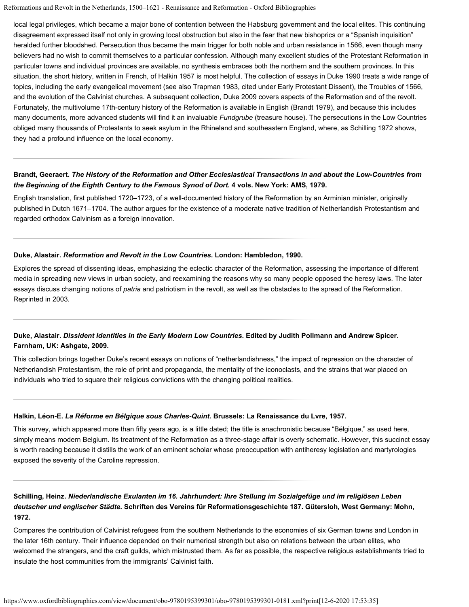local legal privileges, which became a major bone of contention between the Habsburg government and the local elites. This continuing disagreement expressed itself not only in growing local obstruction but also in the fear that new bishoprics or a "Spanish inquisition" heralded further bloodshed. Persecution thus became the main trigger for both noble and urban resistance in 1566, even though many believers had no wish to commit themselves to a particular confession. Although many excellent studies of the Protestant Reformation in particular towns and individual provinces are available, no synthesis embraces both the northern and the southern provinces. In this situation, the short history, written in French, of [Halkin 1957](https://www.oxfordbibliographies.com/view/document/obo-9780195399301/obo-9780195399301-0181.xml#obo-9780195399301-0181-bibItem-0057) is most helpful. The collection of essays in [Duke 1990](https://www.oxfordbibliographies.com/view/document/obo-9780195399301/obo-9780195399301-0181.xml#obo-9780195399301-0181-bibItem-0055) treats a wide range of topics, including the early evangelical movement (see also [Trapman 1983,](https://www.oxfordbibliographies.com/view/document/obo-9780195399301/obo-9780195399301-0181.xml#obo-9780195399301-0181-bibItem-0059) cited under [Early Protestant Dissent](#page-1-0)), the Troubles of 1566, and the evolution of the Calvinist churches. A subsequent collection, [Duke 2009](https://www.oxfordbibliographies.com/view/document/obo-9780195399301/obo-9780195399301-0181.xml#obo-9780195399301-0181-bibItem-0056) covers aspects of the Reformation and of the revolt. Fortunately, the multivolume 17th-century history of the Reformation is available in English [\(Brandt 1979](https://www.oxfordbibliographies.com/view/document/obo-9780195399301/obo-9780195399301-0181.xml#obo-9780195399301-0181-bibItem-0054)), and because this includes many documents, more advanced students will find it an invaluable *Fundgrube* (treasure house). The persecutions in the Low Countries obliged many thousands of Protestants to seek asylum in the Rhineland and southeastern England, where, as [Schilling 1972](https://www.oxfordbibliographies.com/view/document/obo-9780195399301/obo-9780195399301-0181.xml#obo-9780195399301-0181-bibItem-0058) shows, they had a profound influence on the local economy.

#### **Brandt, Geeraert.** *The History of the Reformation and Other Ecclesiastical Transactions in and about the Low-Countries from the Beginning of the Eighth Century to the Famous Synod of Dort***. 4 vols. New York: AMS, 1979.**

English translation, first published 1720–1723, of a well-documented history of the Reformation by an Arminian minister, originally published in Dutch 1671–1704. The author argues for the existence of a moderate native tradition of Netherlandish Protestantism and regarded orthodox Calvinism as a foreign innovation.

#### **Duke, Alastair.** *Reformation and Revolt in the Low Countries***. London: Hambledon, 1990.**

Explores the spread of dissenting ideas, emphasizing the eclectic character of the Reformation, assessing the importance of different media in spreading new views in urban society, and reexamining the reasons why so many people opposed the heresy laws. The later essays discuss changing notions of *patria* and patriotism in the revolt, as well as the obstacles to the spread of the Reformation. Reprinted in 2003.

### **Duke, Alastair.** *Dissident Identities in the Early Modern Low Countries***. Edited by Judith Pollmann and Andrew Spicer. Farnham, UK: Ashgate, 2009.**

This collection brings together Duke's recent essays on notions of "netherlandishness," the impact of repression on the character of Netherlandish Protestantism, the role of print and propaganda, the mentality of the iconoclasts, and the strains that war placed on individuals who tried to square their religious convictions with the changing political realities.

#### **Halkin, Léon-E.** *La Réforme en Bélgique sous Charles-Quint***. Brussels: La Renaissance du Lvre, 1957.**

This survey, which appeared more than fifty years ago, is a little dated; the title is anachronistic because "Bélgique," as used here, simply means modern Belgium. Its treatment of the Reformation as a three-stage affair is overly schematic. However, this succinct essay is worth reading because it distills the work of an eminent scholar whose preoccupation with antiheresy legislation and martyrologies exposed the severity of the Caroline repression.

### **Schilling, Heinz.** *Niederlandische Exulanten im 16. Jahrhundert: Ihre Stellung im Sozialgefüge und im religiösen Leben deutscher und englischer Städte***. Schriften des Vereins für Reformationsgeschichte 187. Gütersloh, West Germany: Mohn, 1972.**

Compares the contribution of Calvinist refugees from the southern Netherlands to the economies of six German towns and London in the later 16th century. Their influence depended on their numerical strength but also on relations between the urban elites, who welcomed the strangers, and the craft guilds, which mistrusted them. As far as possible, the respective religious establishments tried to insulate the host communities from the immigrants' Calvinist faith.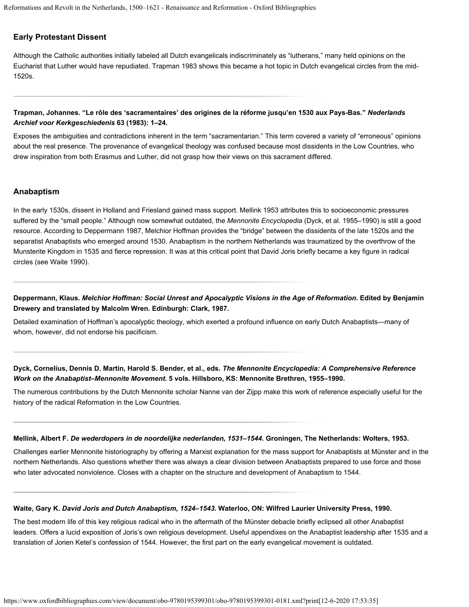#### **Early Protestant Dissent**

Although the Catholic authorities initially labeled all Dutch evangelicals indiscriminately as "lutherans," many held opinions on the Eucharist that Luther would have repudiated. [Trapman 1983](https://www.oxfordbibliographies.com/view/document/obo-9780195399301/obo-9780195399301-0181.xml#obo-9780195399301-0181-bibItem-0059) shows this became a hot topic in Dutch evangelical circles from the mid-1520s.

#### **Trapman, Johannes. "Le rôle des 'sacramentaires' des origines de la réforme jusqu'en 1530 aux Pays-Bas."** *Nederlands Archief voor Kerkgeschiedenis* **63 (1983): 1–24.**

Exposes the ambiguities and contradictions inherent in the term "sacramentarian." This term covered a variety of "erroneous" opinions about the real presence. The provenance of evangelical theology was confused because most dissidents in the Low Countries, who drew inspiration from both Erasmus and Luther, did not grasp how their views on this sacrament differed.

#### **Anabaptism**

In the early 1530s, dissent in Holland and Friesland gained mass support. [Mellink 1953](https://www.oxfordbibliographies.com/view/document/obo-9780195399301/obo-9780195399301-0181.xml#obo-9780195399301-0181-bibItem-0062) attributes this to socioeconomic pressures suffered by the "small people." Although now somewhat outdated, the *Mennonite Encyclopedia* [\(Dyck, et al. 1955–1990](https://www.oxfordbibliographies.com/view/document/obo-9780195399301/obo-9780195399301-0181.xml#obo-9780195399301-0181-bibItem-0061)) is still a good resource. According to [Deppermann 1987](https://www.oxfordbibliographies.com/view/document/obo-9780195399301/obo-9780195399301-0181.xml#obo-9780195399301-0181-bibItem-0060), Melchior Hoffman provides the "bridge" between the dissidents of the late 1520s and the separatist Anabaptists who emerged around 1530. Anabaptism in the northern Netherlands was traumatized by the overthrow of the Munsterite Kingdom in 1535 and fierce repression. It was at this critical point that David Joris briefly became a key figure in radical circles (see [Waite 1990](https://www.oxfordbibliographies.com/view/document/obo-9780195399301/obo-9780195399301-0181.xml#obo-9780195399301-0181-bibItem-0063)).

**Deppermann, Klaus.** *Melchior Hoffman: Social Unrest and Apocalyptic Visions in the Age of Reformation***. Edited by Benjamin Drewery and translated by Malcolm Wren. Edinburgh: Clark, 1987.**

Detailed examination of Hoffman's apocalyptic theology, which exerted a profound influence on early Dutch Anabaptists—many of whom, however, did not endorse his pacificism.

#### **Dyck, Cornelius, Dennis D. Martin, Harold S. Bender, et al., eds.** *The Mennonite Encyclopedia: A Comprehensive Reference Work on the Anabaptist–Mennonite Movement***. 5 vols. Hillsboro, KS: Mennonite Brethren, 1955–1990.**

The numerous contributions by the Dutch Mennonite scholar Nanne van der Zijpp make this work of reference especially useful for the history of the radical Reformation in the Low Countries.

#### **Mellink, Albert F.** *De wederdopers in de noordelijke nederlanden, 1531–1544***. Groningen, The Netherlands: Wolters, 1953.**

Challenges earlier Mennonite historiography by offering a Marxist explanation for the mass support for Anabaptists at Münster and in the northern Netherlands. Also questions whether there was always a clear division between Anabaptists prepared to use force and those who later advocated nonviolence. Closes with a chapter on the structure and development of Anabaptism to 1544.

#### **Waite, Gary K.** *David Joris and Dutch Anabaptism, 1524–1543***. Waterloo, ON: Wilfred Laurier University Press, 1990.**

The best modern life of this key religious radical who in the aftermath of the Münster debacle briefly eclipsed all other Anabaptist leaders. Offers a lucid exposition of Joris's own religious development. Useful appendixes on the Anabaptist leadership after 1535 and a translation of Jorien Ketel's confession of 1544. However, the first part on the early evangelical movement is outdated.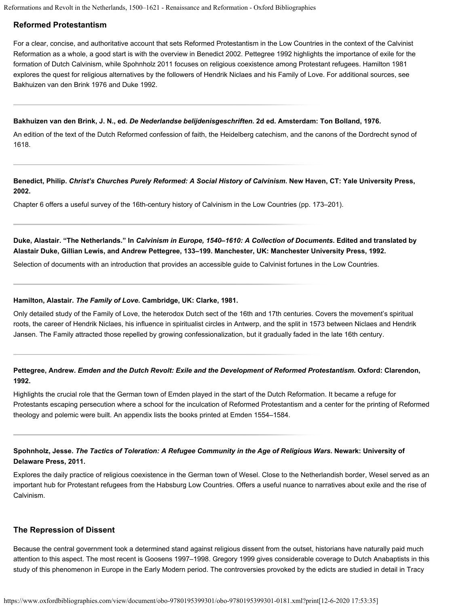#### **Reformed Protestantism**

For a clear, concise, and authoritative account that sets Reformed Protestantism in the Low Countries in the context of the Calvinist Reformation as a whole, a good start is with the overview in [Benedict 2002](https://www.oxfordbibliographies.com/view/document/obo-9780195399301/obo-9780195399301-0181.xml#obo-9780195399301-0181-bibItem-0065). [Pettegree 1992](https://www.oxfordbibliographies.com/view/document/obo-9780195399301/obo-9780195399301-0181.xml#obo-9780195399301-0181-bibItem-0068) highlights the importance of exile for the formation of Dutch Calvinism, while [Spohnholz 2011](https://www.oxfordbibliographies.com/view/document/obo-9780195399301/obo-9780195399301-0181.xml#obo-9780195399301-0181-bibItem-0069) focuses on religious coexistence among Protestant refugees. [Hamilton 1981](https://www.oxfordbibliographies.com/view/document/obo-9780195399301/obo-9780195399301-0181.xml#obo-9780195399301-0181-bibItem-0067) explores the quest for religious alternatives by the followers of Hendrik Niclaes and his Family of Love. For additional sources, see [Bakhuizen van den Brink 1976](https://www.oxfordbibliographies.com/view/document/obo-9780195399301/obo-9780195399301-0181.xml#obo-9780195399301-0181-bibItem-0064) and [Duke 1992](https://www.oxfordbibliographies.com/view/document/obo-9780195399301/obo-9780195399301-0181.xml#obo-9780195399301-0181-bibItem-0066).

#### **Bakhuizen van den Brink, J. N., ed.** *[De Nederlandse belijdenisgeschriften](http://www.dbnl.org/tekst/bakh007nede01_01/)***. 2d ed. Amsterdam: Ton Bolland, 1976.**

An edition of the text of the Dutch Reformed confession of faith, the Heidelberg catechism, and the canons of the Dordrecht synod of 1618.

**Benedict, Philip.** *Christ's Churches Purely Reformed: A Social History of Calvinism***. New Haven, CT: Yale University Press, 2002.**

Chapter 6 offers a useful survey of the 16th-century history of Calvinism in the Low Countries (pp. 173–201).

**Duke, Alastair. "The Netherlands." In** *Calvinism in Europe, 1540–1610: A Collection of Documents***. Edited and translated by Alastair Duke, Gillian Lewis, and Andrew Pettegree, 133–199. Manchester, UK: Manchester University Press, 1992.**

Selection of documents with an introduction that provides an accessible guide to Calvinist fortunes in the Low Countries.

#### **Hamilton, Alastair.** *The Family of Love***. Cambridge, UK: Clarke, 1981.**

Only detailed study of the Family of Love, the heterodox Dutch sect of the 16th and 17th centuries. Covers the movement's spiritual roots, the career of Hendrik Niclaes, his influence in spiritualist circles in Antwerp, and the split in 1573 between Niclaes and Hendrik Jansen. The Family attracted those repelled by growing confessionalization, but it gradually faded in the late 16th century.

### **Pettegree, Andrew.** *Emden and the Dutch Revolt: Exile and the Development of Reformed Protestantism***. Oxford: Clarendon, 1992.**

Highlights the crucial role that the German town of Emden played in the start of the Dutch Reformation. It became a refuge for Protestants escaping persecution where a school for the inculcation of Reformed Protestantism and a center for the printing of Reformed theology and polemic were built. An appendix lists the books printed at Emden 1554–1584.

### **Spohnholz, Jesse.** *The Tactics of Toleration: A Refugee Community in the Age of Religious Wars***. Newark: University of Delaware Press, 2011.**

Explores the daily practice of religious coexistence in the German town of Wesel. Close to the Netherlandish border, Wesel served as an important hub for Protestant refugees from the Habsburg Low Countries. Offers a useful nuance to narratives about exile and the rise of Calvinism.

#### **The Repression of Dissent**

Because the central government took a determined stand against religious dissent from the outset, historians have naturally paid much attention to this aspect. The most recent is [Goosens 1997–1998](https://www.oxfordbibliographies.com/view/document/obo-9780195399301/obo-9780195399301-0181.xml#obo-9780195399301-0181-bibItem-0070). [Gregory 1999](https://www.oxfordbibliographies.com/view/document/obo-9780195399301/obo-9780195399301-0181.xml#obo-9780195399301-0181-bibItem-0071) gives considerable coverage to Dutch Anabaptists in this study of this phenomenon in Europe in the Early Modern period. The controversies provoked by the edicts are studied in detail in [Tracy](https://www.oxfordbibliographies.com/view/document/obo-9780195399301/obo-9780195399301-0181.xml#obo-9780195399301-0181-bibItem-0072)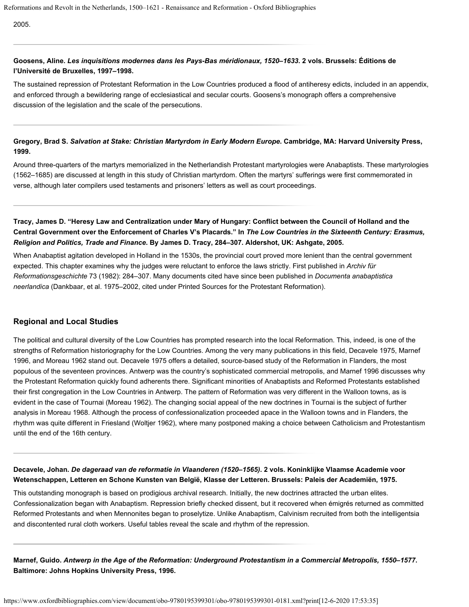[2005.](https://www.oxfordbibliographies.com/view/document/obo-9780195399301/obo-9780195399301-0181.xml#obo-9780195399301-0181-bibItem-0072)

#### **Goosens, Aline.** *Les inquisitions modernes dans les Pays-Bas méridionaux, 1520–1633***. 2 vols. Brussels: Éditions de l'Université de Bruxelles, 1997–1998.**

The sustained repression of Protestant Reformation in the Low Countries produced a flood of antiheresy edicts, included in an appendix, and enforced through a bewildering range of ecclesiastical and secular courts. Goosens's monograph offers a comprehensive discussion of the legislation and the scale of the persecutions.

## **Gregory, Brad S.** *Salvation at Stake: Christian Martyrdom in Early Modern Europe***. Cambridge, MA: Harvard University Press, 1999.**

Around three-quarters of the martyrs memorialized in the Netherlandish Protestant martyrologies were Anabaptists. These martyrologies (1562–1685) are discussed at length in this study of Christian martyrdom. Often the martyrs' sufferings were first commemorated in verse, although later compilers used testaments and prisoners' letters as well as court proceedings.

## **Tracy, James D. "Heresy Law and Centralization under Mary of Hungary: Conflict between the Council of Holland and the Central Government over the Enforcement of Charles V's Placards." In** *The Low Countries in the Sixteenth Century: Erasmus, Religion and Politics, Trade and Finance***. By James D. Tracy, 284–307. Aldershot, UK: Ashgate, 2005.**

When Anabaptist agitation developed in Holland in the 1530s, the provincial court proved more lenient than the central government expected. This chapter examines why the judges were reluctant to enforce the laws strictly. First published in *Archiv für Reformationsgeschichte* 73 (1982): 284–307. Many documents cited have since been published in *Documenta anabaptistica neerlandica* [\(Dankbaar, et al. 1975–2002](https://www.oxfordbibliographies.com/view/document/obo-9780195399301/obo-9780195399301-0181.xml#obo-9780195399301-0181-bibItem-0012), cited under [Printed Sources for the Protestant Reformation](#page-1-0)).

#### **Regional and Local Studies**

The political and cultural diversity of the Low Countries has prompted research into the local Reformation. This, indeed, is one of the strengths of Reformation historiography for the Low Countries. Among the very many publications in this field, [Decavele 1975,](https://www.oxfordbibliographies.com/view/document/obo-9780195399301/obo-9780195399301-0181.xml#obo-9780195399301-0181-bibItem-0073) [Marnef](https://www.oxfordbibliographies.com/view/document/obo-9780195399301/obo-9780195399301-0181.xml#obo-9780195399301-0181-bibItem-0074) [1996,](https://www.oxfordbibliographies.com/view/document/obo-9780195399301/obo-9780195399301-0181.xml#obo-9780195399301-0181-bibItem-0074) and [Moreau 1962](https://www.oxfordbibliographies.com/view/document/obo-9780195399301/obo-9780195399301-0181.xml#obo-9780195399301-0181-bibItem-0075) stand out. [Decavele 1975](https://www.oxfordbibliographies.com/view/document/obo-9780195399301/obo-9780195399301-0181.xml#obo-9780195399301-0181-bibItem-0073) offers a detailed, source-based study of the Reformation in Flanders, the most populous of the seventeen provinces. Antwerp was the country's sophisticated commercial metropolis, and [Marnef 1996](https://www.oxfordbibliographies.com/view/document/obo-9780195399301/obo-9780195399301-0181.xml#obo-9780195399301-0181-bibItem-0074) discusses why the Protestant Reformation quickly found adherents there. Significant minorities of Anabaptists and Reformed Protestants established their first congregation in the Low Countries in Antwerp. The pattern of Reformation was very different in the Walloon towns, as is evident in the case of Tournai [\(Moreau 1962](https://www.oxfordbibliographies.com/view/document/obo-9780195399301/obo-9780195399301-0181.xml#obo-9780195399301-0181-bibItem-0075)). The changing social appeal of the new doctrines in Tournai is the subject of further analysis in [Moreau 1968](https://www.oxfordbibliographies.com/view/document/obo-9780195399301/obo-9780195399301-0181.xml#obo-9780195399301-0181-bibItem-0076). Although the process of confessionalization proceeded apace in the Walloon towns and in Flanders, the rhythm was quite different in Friesland [\(Woltjer 1962](https://www.oxfordbibliographies.com/view/document/obo-9780195399301/obo-9780195399301-0181.xml#obo-9780195399301-0181-bibItem-0077)), where many postponed making a choice between Catholicism and Protestantism until the end of the 16th century.

### **Decavele, Johan.** *De dageraad van de reformatie in Vlaanderen (1520–1565)***. 2 vols. Koninklijke Vlaamse Academie voor Wetenschappen, Letteren en Schone Kunsten van België, Klasse der Letteren. Brussels: Paleis der Academiën, 1975.**

This outstanding monograph is based on prodigious archival research. Initially, the new doctrines attracted the urban elites. Confessionalization began with Anabaptism. Repression briefly checked dissent, but it recovered when émigrés returned as committed Reformed Protestants and when Mennonites began to proselytize. Unlike Anabaptism, Calvinism recruited from both the intelligentsia and discontented rural cloth workers. Useful tables reveal the scale and rhythm of the repression.

**Marnef, Guido.** *Antwerp in the Age of the Reformation: Underground Protestantism in a Commercial Metropolis, 1550–1577***. Baltimore: Johns Hopkins University Press, 1996.**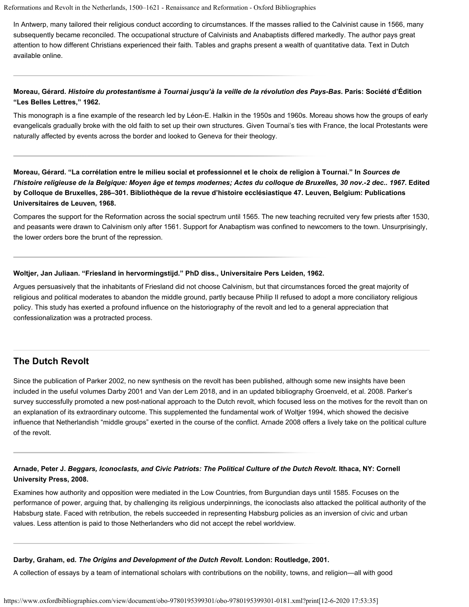In Antwerp, many tailored their religious conduct according to circumstances. If the masses rallied to the Calvinist cause in 1566, many subsequently became reconciled. The occupational structure of Calvinists and Anabaptists differed markedly. The author pays great attention to how different Christians experienced their faith. Tables and graphs present a wealth of quantitative data. Text in Dutch available [online](http://www.dbnl.org/tekst/marn002antw01_01/).

#### **Moreau, Gérard.** *Histoire du protestantisme à Tournai jusqu'à la veille de la révolution des Pays-Bas***. Paris: Société d'Édition "Les Belles Lettres," 1962.**

This monograph is a fine example of the research led by Léon-E. Halkin in the 1950s and 1960s. Moreau shows how the groups of early evangelicals gradually broke with the old faith to set up their own structures. Given Tournai's ties with France, the local Protestants were naturally affected by events across the border and looked to Geneva for their theology.

**Moreau, Gérard. "La corrélation entre le milieu social et professionnel et le choix de religion à Tournai." In** *Sources de l'histoire religieuse de la Belgique: Moyen âge et temps modernes; Actes du colloque de Bruxelles, 30 nov.-2 dec.. 1967***. Edited by Colloque de Bruxelles, 286–301. Bibliothèque de la revue d'histoire ecclésiastique 47. Leuven, Belgium: Publications Universitaires de Leuven, 1968.**

Compares the support for the Reformation across the social spectrum until 1565. The new teaching recruited very few priests after 1530, and peasants were drawn to Calvinism only after 1561. Support for Anabaptism was confined to newcomers to the town. Unsurprisingly, the lower orders bore the brunt of the repression.

#### **Woltjer, Jan Juliaan. "Friesland in hervormingstijd." PhD diss., Universitaire Pers Leiden, 1962.**

Argues persuasively that the inhabitants of Friesland did not choose Calvinism, but that circumstances forced the great majority of religious and political moderates to abandon the middle ground, partly because Philip II refused to adopt a more conciliatory religious policy. This study has exerted a profound influence on the historiography of the revolt and led to a general appreciation that confessionalization was a protracted process.

### **The Dutch Revolt**

Since the publication of [Parker 2002](https://www.oxfordbibliographies.com/view/document/obo-9780195399301/obo-9780195399301-0181.xml#obo-9780195399301-0181-bibItem-0081), no new synthesis on the revolt has been published, although some new insights have been included in the useful volumes [Darby 2001](https://www.oxfordbibliographies.com/view/document/obo-9780195399301/obo-9780195399301-0181.xml#obo-9780195399301-0181-bibItem-0079) and [Van der Lem 2018](https://www.oxfordbibliographies.com/view/document/obo-9780195399301/obo-9780195399301-0181.xml#obo-9780195399301-0181-bibItem-0082), and in an updated bibliography [Groenveld, et al. 2008](https://www.oxfordbibliographies.com/view/document/obo-9780195399301/obo-9780195399301-0181.xml#obo-9780195399301-0181-bibItem-0080). Parker's survey successfully promoted a new post-national approach to the Dutch revolt, which focused less on the motives for the revolt than on an explanation of its extraordinary outcome. This supplemented the fundamental work of [Woltjer 1994](https://www.oxfordbibliographies.com/view/document/obo-9780195399301/obo-9780195399301-0181.xml#obo-9780195399301-0181-bibItem-0083), which showed the decisive influence that Netherlandish "middle groups" exerted in the course of the conflict. [Arnade 2008](https://www.oxfordbibliographies.com/view/document/obo-9780195399301/obo-9780195399301-0181.xml#obo-9780195399301-0181-bibItem-0078) offers a lively take on the political culture of the revolt.

#### **Arnade, Peter J.** *Beggars, Iconoclasts, and Civic Patriots: The Political Culture of the Dutch Revolt***. Ithaca, NY: Cornell University Press, 2008.**

Examines how authority and opposition were mediated in the Low Countries, from Burgundian days until 1585. Focuses on the performance of power, arguing that, by challenging its religious underpinnings, the iconoclasts also attacked the political authority of the Habsburg state. Faced with retribution, the rebels succeeded in representing Habsburg policies as an inversion of civic and urban values. Less attention is paid to those Netherlanders who did not accept the rebel worldview.

#### **Darby, Graham, ed.** *The Origins and Development of the Dutch Revolt***. London: Routledge, 2001.**

A collection of essays by a team of international scholars with contributions on the nobility, towns, and religion—all with good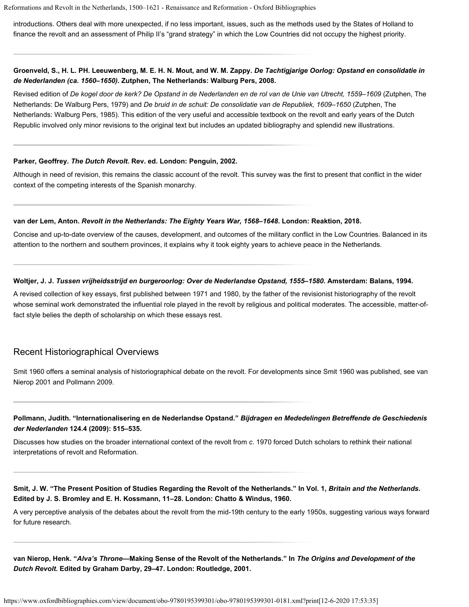introductions. Others deal with more unexpected, if no less important, issues, such as the methods used by the States of Holland to finance the revolt and an assessment of Philip II's "grand strategy" in which the Low Countries did not occupy the highest priority.

#### **Groenveld, S., H. L. PH. Leeuwenberg, M. E. H. N. Mout, and W. M. Zappy.** *De Tachtigjarige Oorlog: Opstand en consolidatie in de Nederlanden (ca. 1560–1650)***. Zutphen, The Netherlands: Walburg Pers, 2008.**

Revised edition of *De kogel door de kerk? De Opstand in de Nederlanden en de rol van de Unie van Utrecht, 1559–1609* (Zutphen, The Netherlands: De Walburg Pers, 1979) and *De bruid in de schuit: De consolidatie van de Republiek, 1609–1650* (Zutphen, The Netherlands: Walburg Pers, 1985). This edition of the very useful and accessible textbook on the revolt and early years of the Dutch Republic involved only minor revisions to the original text but includes an updated bibliography and splendid new illustrations.

#### **Parker, Geoffrey.** *The Dutch Revolt***. Rev. ed. London: Penguin, 2002.**

Although in need of revision, this remains the classic account of the revolt. This survey was the first to present that conflict in the wider context of the competing interests of the Spanish monarchy.

#### **van der Lem, Anton.** *Revolt in the Netherlands: The Eighty Years War, 1568–1648***. London: Reaktion, 2018.**

Concise and up-to-date overview of the causes, development, and outcomes of the military conflict in the Low Countries. Balanced in its attention to the northern and southern provinces, it explains why it took eighty years to achieve peace in the Netherlands.

#### **Woltjer, J. J.** *Tussen vrijheidsstrijd en burgeroorlog: Over de Nederlandse Opstand, 1555–1580***. Amsterdam: Balans, 1994.**

A [revised collection](http://www.dbnl.org/tekst/wolt014tuss01_01/) of key essays, first published between 1971 and 1980, by the father of the revisionist historiography of the revolt whose seminal work demonstrated the influential role played in the revolt by religious and political moderates. The accessible, matter-offact style belies the depth of scholarship on which these essays rest.

#### Recent Historiographical Overviews

[Smit 1960](https://www.oxfordbibliographies.com/view/document/obo-9780195399301/obo-9780195399301-0181.xml#obo-9780195399301-0181-bibItem-0085) offers a seminal analysis of historiographical debate on the revolt. For developments since [Smit 1960](https://www.oxfordbibliographies.com/view/document/obo-9780195399301/obo-9780195399301-0181.xml#obo-9780195399301-0181-bibItem-0085) was published, see [van](https://www.oxfordbibliographies.com/view/document/obo-9780195399301/obo-9780195399301-0181.xml#obo-9780195399301-0181-bibItem-0086) [Nierop 2001](https://www.oxfordbibliographies.com/view/document/obo-9780195399301/obo-9780195399301-0181.xml#obo-9780195399301-0181-bibItem-0086) and [Pollmann 2009.](https://www.oxfordbibliographies.com/view/document/obo-9780195399301/obo-9780195399301-0181.xml#obo-9780195399301-0181-bibItem-0084)

#### **Pollmann, Judith. ["Internationalisering en de Nederlandse Opstand](http://www.academia.edu/1396831/Internationalisering_en_de_Nederlandse_Opstand)."** *Bijdragen en Mededelingen Betreffende de Geschiedenis der Nederlanden* **124.4 (2009): 515–535.**

Discusses how studies on the broader international context of the revolt from *c*. 1970 forced Dutch scholars to rethink their national interpretations of revolt and Reformation.

Smit, J. W. "The Present Position of Studies Regarding the Revolt of the Netherlands." In Vol. 1, *Britain and the Netherlands*. **Edited by J. S. Bromley and E. H. Kossmann, 11–28. London: Chatto & Windus, 1960.**

A very perceptive analysis of the debates about the revolt from the mid-19th century to the early 1950s, suggesting various ways forward for future research.

**van Nierop, Henk. "***Alva's Throne***—Making Sense of the Revolt of the Netherlands." In** *The Origins and Development of the Dutch Revolt***. Edited by Graham Darby, 29–47. London: Routledge, 2001.**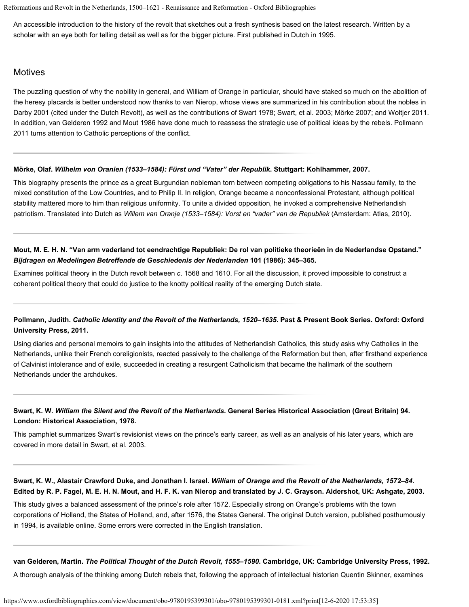An accessible introduction to the history of the revolt that sketches out a fresh synthesis based on the latest research. Written by a scholar with an eye both for telling detail as well as for the bigger picture. First published in Dutch in 1995.

### **Motives**

The puzzling question of why the nobility in general, and William of Orange in particular, should have staked so much on the abolition of the heresy placards is better understood now thanks to van Nierop, whose views are summarized in his contribution about the nobles in [Darby 2001](https://www.oxfordbibliographies.com/view/document/obo-9780195399301/obo-9780195399301-0181.xml#obo-9780195399301-0181-bibItem-0079) (cited under the [Dutch Revolt](#page-1-0)), as well as the contributions of [Swart 1978](https://www.oxfordbibliographies.com/view/document/obo-9780195399301/obo-9780195399301-0181.xml#obo-9780195399301-0181-bibItem-0090); [Swart, et al. 2003](https://www.oxfordbibliographies.com/view/document/obo-9780195399301/obo-9780195399301-0181.xml#obo-9780195399301-0181-bibItem-0091); [Mörke 2007](https://www.oxfordbibliographies.com/view/document/obo-9780195399301/obo-9780195399301-0181.xml#obo-9780195399301-0181-bibItem-0087); and [Woltjer 2011](https://www.oxfordbibliographies.com/view/document/obo-9780195399301/obo-9780195399301-0181.xml#obo-9780195399301-0181-bibItem-0093). In addition, [van Gelderen 1992](https://www.oxfordbibliographies.com/view/document/obo-9780195399301/obo-9780195399301-0181.xml#obo-9780195399301-0181-bibItem-0092) and [Mout 1986](https://www.oxfordbibliographies.com/view/document/obo-9780195399301/obo-9780195399301-0181.xml#obo-9780195399301-0181-bibItem-0088) have done much to reassess the strategic use of political ideas by the rebels. [Pollmann](https://www.oxfordbibliographies.com/view/document/obo-9780195399301/obo-9780195399301-0181.xml#obo-9780195399301-0181-bibItem-0089) [2011](https://www.oxfordbibliographies.com/view/document/obo-9780195399301/obo-9780195399301-0181.xml#obo-9780195399301-0181-bibItem-0089) turns attention to Catholic perceptions of the conflict.

#### **Mörke, Olaf.** *Wilhelm von Oranien (1533–1584): Fürst und "Vater" der Republik***. Stuttgart: Kohlhammer, 2007.**

This biography presents the prince as a great Burgundian nobleman torn between competing obligations to his Nassau family, to the mixed constitution of the Low Countries, and to Philip II. In religion, Orange became a nonconfessional Protestant, although political stability mattered more to him than religious uniformity. To unite a divided opposition, he invoked a comprehensive Netherlandish patriotism. Translated into Dutch as *Willem van Oranje (1533–1584): Vorst en "vader" van de Republiek* (Amsterdam: Atlas, 2010).

#### **Mout, M. E. H. N. "Van arm vaderland tot eendrachtige Republiek: De rol van politieke theorieën in de Nederlandse Opstand."** *Bijdragen en Medelingen Betreffende de Geschiedenis der Nederlanden* **101 (1986): 345–365.**

Examines political theory in the Dutch revolt between *c*. 1568 and 1610. For all the discussion, it proved impossible to construct a coherent political theory that could do justice to the knotty political reality of the emerging Dutch state.

## **Pollmann, Judith.** *Catholic Identity and the Revolt of the Netherlands, 1520–1635***. Past & Present Book Series. Oxford: Oxford University Press, 2011.**

Using diaries and personal memoirs to gain insights into the attitudes of Netherlandish Catholics, this study asks why Catholics in the Netherlands, unlike their French coreligionists, reacted passively to the challenge of the Reformation but then, after firsthand experience of Calvinist intolerance and of exile, succeeded in creating a resurgent Catholicism that became the hallmark of the southern Netherlands under the archdukes.

#### **Swart, K. W.** *William the Silent and the Revolt of the Netherlands***. General Series Historical Association (Great Britain) 94. London: Historical Association, 1978.**

This pamphlet summarizes Swart's revisionist views on the prince's early career, as well as an analysis of his later years, which are covered in more detail in [Swart, et al. 2003](https://www.oxfordbibliographies.com/view/document/obo-9780195399301/obo-9780195399301-0181.xml#obo-9780195399301-0181-bibItem-0091).

### **Swart, K. W., Alastair Crawford Duke, and Jonathan I. Israel.** *William of Orange and the Revolt of the Netherlands, 1572–84***. Edited by R. P. Fagel, M. E. H. N. Mout, and H. F. K. van Nierop and translated by J. C. Grayson. Aldershot, UK: Ashgate, 2003.**

This study gives a balanced assessment of the prince's role after 1572. Especially strong on Orange's problems with the town corporations of Holland, the States of Holland, and, after 1576, the States General. The original Dutch version, published posthumously in 1994, is available [online](http://www.dbnl.org/tekst/swar014will01_01/). Some errors were corrected in the English translation.

#### **van Gelderen, Martin.** *The Political Thought of the Dutch Revolt, 1555–1590***. Cambridge, UK: Cambridge University Press, 1992.**

A thorough analysis of the thinking among Dutch rebels that, following the approach of intellectual historian Quentin Skinner, examines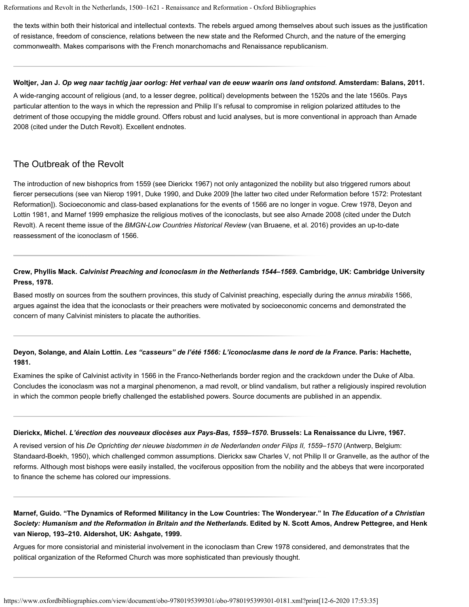the texts within both their historical and intellectual contexts. The rebels argued among themselves about such issues as the justification of resistance, freedom of conscience, relations between the new state and the Reformed Church, and the nature of the emerging commonwealth. Makes comparisons with the French monarchomachs and Renaissance republicanism.

#### **Woltjer, Jan J.** *Op weg naar tachtig jaar oorlog: Het verhaal van de eeuw waarin ons land ontstond***. Amsterdam: Balans, 2011.**

A wide-ranging account of religious (and, to a lesser degree, political) developments between the 1520s and the late 1560s. Pays particular attention to the ways in which the repression and Philip II's refusal to compromise in religion polarized attitudes to the detriment of those occupying the middle ground. Offers robust and lucid analyses, but is more conventional in approach than [Arnade](https://www.oxfordbibliographies.com/view/document/obo-9780195399301/obo-9780195399301-0181.xml#obo-9780195399301-0181-bibItem-0078) [2008](https://www.oxfordbibliographies.com/view/document/obo-9780195399301/obo-9780195399301-0181.xml#obo-9780195399301-0181-bibItem-0078) (cited under the [Dutch Revolt](#page-1-0)). Excellent endnotes.

## The Outbreak of the Revolt

The introduction of new bishoprics from 1559 (see [Dierickx 1967](https://www.oxfordbibliographies.com/view/document/obo-9780195399301/obo-9780195399301-0181.xml#obo-9780195399301-0181-bibItem-0096)) not only antagonized the nobility but also triggered rumors about fiercer persecutions (see [van Nierop 1991](https://www.oxfordbibliographies.com/view/document/obo-9780195399301/obo-9780195399301-0181.xml#obo-9780195399301-0181-bibItem-0099), [Duke 1990](https://www.oxfordbibliographies.com/view/document/obo-9780195399301/obo-9780195399301-0181.xml#obo-9780195399301-0181-bibItem-0055), and [Duke 2009](https://www.oxfordbibliographies.com/view/document/obo-9780195399301/obo-9780195399301-0181.xml#obo-9780195399301-0181-bibItem-0056) [the latter two cited under [Reformation before 1572: Protestant](#page-1-0) [Reformation\]](#page-1-0)). Socioeconomic and class-based explanations for the events of 1566 are no longer in vogue. [Crew 1978,](https://www.oxfordbibliographies.com/view/document/obo-9780195399301/obo-9780195399301-0181.xml#obo-9780195399301-0181-bibItem-0094) [Deyon and](https://www.oxfordbibliographies.com/view/document/obo-9780195399301/obo-9780195399301-0181.xml#obo-9780195399301-0181-bibItem-0095) [Lottin 1981](https://www.oxfordbibliographies.com/view/document/obo-9780195399301/obo-9780195399301-0181.xml#obo-9780195399301-0181-bibItem-0095), and [Marnef 1999](https://www.oxfordbibliographies.com/view/document/obo-9780195399301/obo-9780195399301-0181.xml#obo-9780195399301-0181-bibItem-0097) emphasize the religious motives of the iconoclasts, but see also [Arnade 2008](https://www.oxfordbibliographies.com/view/document/obo-9780195399301/obo-9780195399301-0181.xml#obo-9780195399301-0181-bibItem-0078) (cited under the [Dutch](#page-1-0) [Revolt\)](#page-1-0). A recent theme issue of the *BMGN-Low Countries Historical Review* [\(van Bruaene, et al. 2016](https://www.oxfordbibliographies.com/view/document/obo-9780195399301/obo-9780195399301-0181.xml#obo-9780195399301-0181-bibItem-0098)) provides an up-to-date reassessment of the iconoclasm of 1566.

### **Crew, Phyllis Mack.** *Calvinist Preaching and Iconoclasm in the Netherlands 1544–1569***. Cambridge, UK: Cambridge University Press, 1978.**

Based mostly on sources from the southern provinces, this study of Calvinist preaching, especially during the *annus mirabilis* 1566, argues against the idea that the iconoclasts or their preachers were motivated by socioeconomic concerns and demonstrated the concern of many Calvinist ministers to placate the authorities.

### **Deyon, Solange, and Alain Lottin.** *Les "casseurs" de l'été 1566: L'iconoclasme dans le nord de la France***. Paris: Hachette, 1981.**

Examines the spike of Calvinist activity in 1566 in the Franco-Netherlands border region and the crackdown under the Duke of Alba. Concludes the iconoclasm was not a marginal phenomenon, a mad revolt, or blind vandalism, but rather a religiously inspired revolution in which the common people briefly challenged the established powers. Source documents are published in an appendix.

#### **Dierickx, Michel.** *L'érection des nouveaux diocèses aux Pays-Bas, 1559–1570***. Brussels: La Renaissance du Livre, 1967.**

A revised version of his *De Oprichting der nieuwe bisdommen in de Nederlanden onder Filips II, 1559–1570* (Antwerp, Belgium: Standaard-Boekh, 1950), which challenged common assumptions. Dierickx saw Charles V, not Philip II or Granvelle, as the author of the reforms. Although most bishops were easily installed, the vociferous opposition from the nobility and the abbeys that were incorporated to finance the scheme has colored our impressions.

### **Marnef, Guido. "The Dynamics of Reformed Militancy in the Low Countries: The Wonderyear." In** *The Education of a Christian Society: Humanism and the Reformation in Britain and the Netherlands***. Edited by N. Scott Amos, Andrew Pettegree, and Henk van Nierop, 193–210. Aldershot, UK: Ashgate, 1999.**

Argues for more consistorial and ministerial involvement in the iconoclasm than [Crew 1978](https://www.oxfordbibliographies.com/view/document/obo-9780195399301/obo-9780195399301-0181.xml#obo-9780195399301-0181-bibItem-0094) considered, and demonstrates that the political organization of the Reformed Church was more sophisticated than previously thought.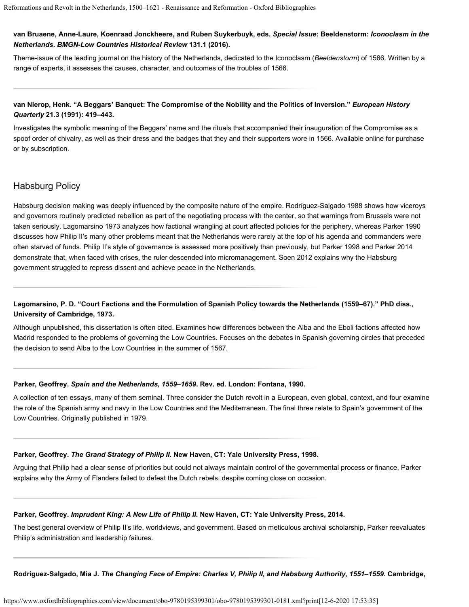#### **van Bruaene, Anne-Laure, Koenraad Jonckheere, and Ruben Suykerbuyk, eds.** *[Special Issue](https://www.bmgn-lchr.nl/577/volume/131/issue/1/)***[: Beeldenstorm:](https://www.bmgn-lchr.nl/577/volume/131/issue/1/)** *[Iconoclasm in the](https://www.bmgn-lchr.nl/577/volume/131/issue/1/) [Netherlands](https://www.bmgn-lchr.nl/577/volume/131/issue/1/)***.** *BMGN-Low Countries Historical Review* **131.1 (2016).**

Theme-issue of the leading journal on the history of the Netherlands, dedicated to the Iconoclasm (*Beeldenstorm*) of 1566. Written by a range of experts, it assesses the causes, character, and outcomes of the troubles of 1566.

#### **van Nierop, Henk. "A Beggars' Banquet: The Compromise of the Nobility and the Politics of Inversion."** *European History Quarterly* **21.3 (1991): 419–443.**

Investigates the symbolic meaning of the Beggars' name and the rituals that accompanied their inauguration of the Compromise as a spoof order of chivalry, as well as their dress and the badges that they and their supporters wore in 1566. Available [online](http://ehq.sagepub.com/content/21/4/419.full.pdf+html) for purchase or by subscription.

## Habsburg Policy

Habsburg decision making was deeply influenced by the composite nature of the empire. [Rodríguez-Salgado 1988](https://www.oxfordbibliographies.com/view/document/obo-9780195399301/obo-9780195399301-0181.xml#obo-9780195399301-0181-bibItem-0104) shows how viceroys and governors routinely predicted rebellion as part of the negotiating process with the center, so that warnings from Brussels were not taken seriously. [Lagomarsino 1973](https://www.oxfordbibliographies.com/view/document/obo-9780195399301/obo-9780195399301-0181.xml#obo-9780195399301-0181-bibItem-0100) analyzes how factional wrangling at court affected policies for the periphery, whereas [Parker 1990](https://www.oxfordbibliographies.com/view/document/obo-9780195399301/obo-9780195399301-0181.xml#obo-9780195399301-0181-bibItem-0101) discusses how Philip II's many other problems meant that the Netherlands were rarely at the top of his agenda and commanders were often starved of funds. Philip II's style of governance is assessed more positively than previously, but [Parker 1998](https://www.oxfordbibliographies.com/view/document/obo-9780195399301/obo-9780195399301-0181.xml#obo-9780195399301-0181-bibItem-0102) and [Parker 2014](https://www.oxfordbibliographies.com/view/document/obo-9780195399301/obo-9780195399301-0181.xml#obo-9780195399301-0181-bibItem-0103) demonstrate that, when faced with crises, the ruler descended into micromanagement. [Soen 2012](https://www.oxfordbibliographies.com/view/document/obo-9780195399301/obo-9780195399301-0181.xml#obo-9780195399301-0181-bibItem-0105) explains why the Habsburg government struggled to repress dissent and achieve peace in the Netherlands.

### **Lagomarsino, P. D. "Court Factions and the Formulation of Spanish Policy towards the Netherlands (1559–67)." PhD diss., University of Cambridge, 1973.**

Although unpublished, this dissertation is often cited. Examines how differences between the Alba and the Eboli factions affected how Madrid responded to the problems of governing the Low Countries. Focuses on the debates in Spanish governing circles that preceded the decision to send Alba to the Low Countries in the summer of 1567.

#### **Parker, Geoffrey.** *Spain and the Netherlands, 1559–1659***. Rev. ed. London: Fontana, 1990.**

A collection of ten essays, many of them seminal. Three consider the Dutch revolt in a European, even global, context, and four examine the role of the Spanish army and navy in the Low Countries and the Mediterranean. The final three relate to Spain's government of the Low Countries. Originally published in 1979.

#### **Parker, Geoffrey.** *The Grand Strategy of Philip II***. New Haven, CT: Yale University Press, 1998.**

Arguing that Philip had a clear sense of priorities but could not always maintain control of the governmental process or finance, Parker explains why the Army of Flanders failed to defeat the Dutch rebels, despite coming close on occasion.

#### **Parker, Geoffrey.** *Imprudent King: A New Life of Philip II***. New Haven, CT: Yale University Press, 2014.**

The best general overview of Philip II's life, worldviews, and government. Based on meticulous archival scholarship, Parker reevaluates Philip's administration and leadership failures.

**Rodríguez-Salgado, Mia J.** *The Changing Face of Empire: Charles V, Philip II, and Habsburg Authority, 1551–1559***. Cambridge,**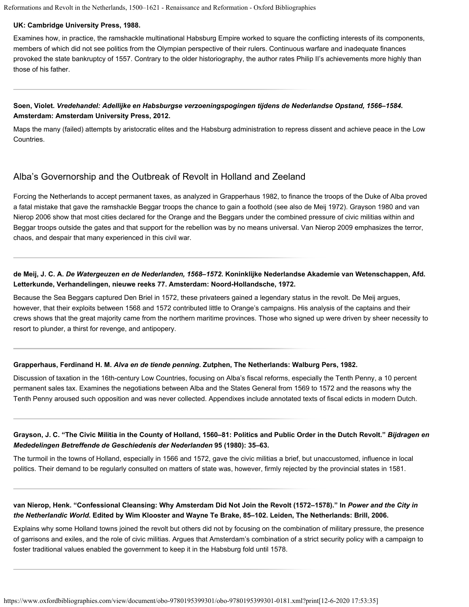#### **UK: Cambridge University Press, 1988.**

Examines how, in practice, the ramshackle multinational Habsburg Empire worked to square the conflicting interests of its components, members of which did not see politics from the Olympian perspective of their rulers. Continuous warfare and inadequate finances provoked the state bankruptcy of 1557. Contrary to the older historiography, the author rates Philip II's achievements more highly than those of his father.

### **Soen, Violet.** *Vredehandel: Adellijke en Habsburgse verzoeningspogingen tijdens de Nederlandse Opstand, 1566–1584***. Amsterdam: Amsterdam University Press, 2012.**

Maps the many (failed) attempts by aristocratic elites and the Habsburg administration to repress dissent and achieve peace in the Low Countries.

## Alba's Governorship and the Outbreak of Revolt in Holland and Zeeland

Forcing the Netherlands to accept permanent taxes, as analyzed in [Grapperhaus 1982](https://www.oxfordbibliographies.com/view/document/obo-9780195399301/obo-9780195399301-0181.xml#obo-9780195399301-0181-bibItem-0107), to finance the troops of the Duke of Alba proved a fatal mistake that gave the ramshackle Beggar troops the chance to gain a foothold (see also [de Meij 1972](https://www.oxfordbibliographies.com/view/document/obo-9780195399301/obo-9780195399301-0181.xml#obo-9780195399301-0181-bibItem-0106)). [Grayson 1980](https://www.oxfordbibliographies.com/view/document/obo-9780195399301/obo-9780195399301-0181.xml#obo-9780195399301-0181-bibItem-0108) and [van](https://www.oxfordbibliographies.com/view/document/obo-9780195399301/obo-9780195399301-0181.xml#obo-9780195399301-0181-bibItem-0109) [Nierop 2006](https://www.oxfordbibliographies.com/view/document/obo-9780195399301/obo-9780195399301-0181.xml#obo-9780195399301-0181-bibItem-0109) show that most cities declared for the Orange and the Beggars under the combined pressure of civic militias within and Beggar troops outside the gates and that support for the rebellion was by no means universal. [Van Nierop 2009](https://www.oxfordbibliographies.com/view/document/obo-9780195399301/obo-9780195399301-0181.xml#obo-9780195399301-0181-bibItem-0110) emphasizes the terror, chaos, and despair that many experienced in this civil war.

### **de Meij, J. C. A.** *De Watergeuzen en de Nederlanden, 1568–1572***. Koninklijke Nederlandse Akademie van Wetenschappen, Afd. Letterkunde, Verhandelingen, nieuwe reeks 77. Amsterdam: Noord-Hollandsche, 1972.**

Because the Sea Beggars captured Den Briel in 1572, these privateers gained a legendary status in the revolt. De Meij argues, however, that their exploits between 1568 and 1572 contributed little to Orange's campaigns. His analysis of the captains and their crews shows that the great majority came from the northern maritime provinces. Those who signed up were driven by sheer necessity to resort to plunder, a thirst for revenge, and antipopery.

#### **Grapperhaus, Ferdinand H. M.** *Alva en de tiende penning***. Zutphen, The Netherlands: Walburg Pers, 1982.**

Discussion of taxation in the 16th-century Low Countries, focusing on Alba's fiscal reforms, especially the Tenth Penny, a 10 percent permanent sales tax. Examines the negotiations between Alba and the States General from 1569 to 1572 and the reasons why the Tenth Penny aroused such opposition and was never collected. Appendixes include annotated texts of fiscal edicts in modern Dutch.

### **Grayson, J. C. "The Civic Militia in the County of Holland, 1560–81: Politics and Public Order in the Dutch Revolt."** *Bijdragen en Mededelingen Betreffende de Geschiedenis der Nederlanden* **95 (1980): 35–63.**

The turmoil in the towns of Holland, especially in 1566 and 1572, gave the civic militias a brief, but unaccustomed, influence in local politics. Their demand to be regularly consulted on matters of state was, however, firmly rejected by the provincial states in 1581.

#### **van Nierop, Henk. "Confessional Cleansing: Why Amsterdam Did Not Join the Revolt (1572–1578)." In** *Power and the City in the Netherlandic World***. Edited by Wim Klooster and Wayne Te Brake, 85–102. Leiden, The Netherlands: Brill, 2006.**

Explains why some Holland towns joined the revolt but others did not by focusing on the combination of military pressure, the presence of garrisons and exiles, and the role of civic militias. Argues that Amsterdam's combination of a strict security policy with a campaign to foster traditional values enabled the government to keep it in the Habsburg fold until 1578.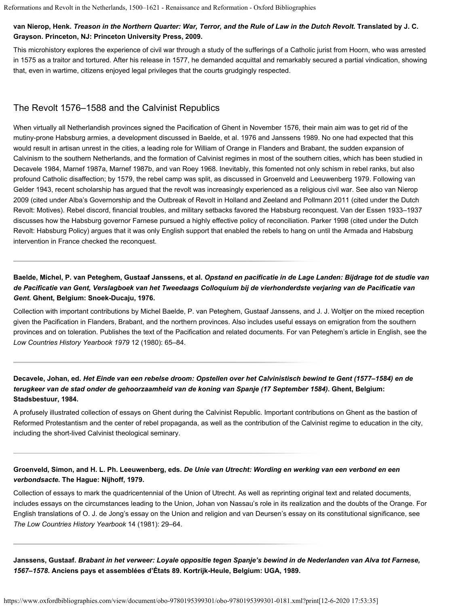#### **van Nierop, Henk.** *Treason in the Northern Quarter: War, Terror, and the Rule of Law in the Dutch Revolt***. Translated by J. C. Grayson. Princeton, NJ: Princeton University Press, 2009.**

This microhistory explores the experience of civil war through a study of the sufferings of a Catholic jurist from Hoorn, who was arrested in 1575 as a traitor and tortured. After his release in 1577, he demanded acquittal and remarkably secured a partial vindication, showing that, even in wartime, citizens enjoyed legal privileges that the courts grudgingly respected.

## The Revolt 1576–1588 and the Calvinist Republics

When virtually all Netherlandish provinces signed the Pacification of Ghent in November 1576, their main aim was to get rid of the mutiny-prone Habsburg armies, a development discussed in [Baelde, et al. 1976](https://www.oxfordbibliographies.com/view/document/obo-9780195399301/obo-9780195399301-0181.xml#obo-9780195399301-0181-bibItem-0111) and [Janssens 1989](https://www.oxfordbibliographies.com/view/document/obo-9780195399301/obo-9780195399301-0181.xml#obo-9780195399301-0181-bibItem-0114). No one had expected that this would result in artisan unrest in the cities, a leading role for William of Orange in Flanders and Brabant, the sudden expansion of Calvinism to the southern Netherlands, and the formation of Calvinist regimes in most of the southern cities, which has been studied in [Decavele 1984,](https://www.oxfordbibliographies.com/view/document/obo-9780195399301/obo-9780195399301-0181.xml#obo-9780195399301-0181-bibItem-0112) [Marnef 1987a](https://www.oxfordbibliographies.com/view/document/obo-9780195399301/obo-9780195399301-0181.xml#obo-9780195399301-0181-bibItem-0115), [Marnef 1987b,](https://www.oxfordbibliographies.com/view/document/obo-9780195399301/obo-9780195399301-0181.xml#obo-9780195399301-0181-bibItem-0116) and [van Roey 1968](https://www.oxfordbibliographies.com/view/document/obo-9780195399301/obo-9780195399301-0181.xml#obo-9780195399301-0181-bibItem-0119). Inevitably, this fomented not only schism in rebel ranks, but also profound Catholic disaffection; by 1579, the rebel camp was split, as discussed in [Groenveld and Leeuwenberg 1979](https://www.oxfordbibliographies.com/view/document/obo-9780195399301/obo-9780195399301-0181.xml#obo-9780195399301-0181-bibItem-0113). Following [van](https://www.oxfordbibliographies.com/view/document/obo-9780195399301/obo-9780195399301-0181.xml#obo-9780195399301-0181-bibItem-0118) [Gelder 1943,](https://www.oxfordbibliographies.com/view/document/obo-9780195399301/obo-9780195399301-0181.xml#obo-9780195399301-0181-bibItem-0118) recent scholarship has argued that the revolt was increasingly experienced as a religious civil war. See also [van Nierop](https://www.oxfordbibliographies.com/view/document/obo-9780195399301/obo-9780195399301-0181.xml#obo-9780195399301-0181-bibItem-0110) [2009](https://www.oxfordbibliographies.com/view/document/obo-9780195399301/obo-9780195399301-0181.xml#obo-9780195399301-0181-bibItem-0110) (cited under [Alba's Governorship and the Outbreak of Revolt in Holland and Zeeland](#page-1-0) and [Pollmann 2011](https://www.oxfordbibliographies.com/view/document/obo-9780195399301/obo-9780195399301-0181.xml#obo-9780195399301-0181-bibItem-0089) (cited under the [Dutch](#page-1-0) [Revolt: Motives\)](#page-1-0). Rebel discord, financial troubles, and military setbacks favored the Habsburg reconquest. [Van der Essen 1933–1937](https://www.oxfordbibliographies.com/view/document/obo-9780195399301/obo-9780195399301-0181.xml#obo-9780195399301-0181-bibItem-0117) discusses how the Habsburg governor Farnese pursued a highly effective policy of reconciliation. [Parker 1998](https://www.oxfordbibliographies.com/view/document/obo-9780195399301/obo-9780195399301-0181.xml#obo-9780195399301-0181-bibItem-0102) (cited under the [Dutch](#page-1-0) [Revolt: Habsburg Policy\)](#page-1-0) argues that it was only English support that enabled the rebels to hang on until the Armada and Habsburg intervention in France checked the reconquest.

## **Baelde, Michel, P. van Peteghem, Gustaaf Janssens, et al.** *Opstand en pacificatie in de Lage Landen: Bijdrage tot de studie van de Pacificatie van Gent, Verslagboek van het Tweedaags Colloquium bij de vierhonderdste verjaring van de Pacificatie van Gent***. Ghent, Belgium: Snoek-Ducaju, 1976.**

Collection with important contributions by Michel Baelde, P. van Peteghem, Gustaaf Janssens, and J. J. Woltjer on the mixed reception given the Pacification in Flanders, Brabant, and the northern provinces. Also includes useful essays on emigration from the southern provinces and on toleration. Publishes the text of the Pacification and related documents. For van Peteghem's article in English, see the *Low Countries History Yearbook 1979* 12 (1980): 65–84.

### **Decavele, Johan, ed.** *Het Einde van een rebelse droom: Opstellen over het Calvinistisch bewind te Gent (1577–1584) en de terugkeer van de stad onder de gehoorzaamheid van de koning van Spanje (17 September 1584)***. Ghent, Belgium: Stadsbestuur, 1984.**

A profusely illustrated collection of essays on Ghent during the Calvinist Republic. Important contributions on Ghent as the bastion of Reformed Protestantism and the center of rebel propaganda, as well as the contribution of the Calvinist regime to education in the city, including the short-lived Calvinist theological seminary.

### **Groenveld, Simon, and H. L. Ph. Leeuwenberg, eds.** *De Unie van Utrecht: Wording en werking van een verbond en een verbondsacte***. The Hague: Nijhoff, 1979.**

Collection of essays to mark the quadricentennial of the Union of Utrecht. As well as reprinting original text and related documents, includes essays on the circumstances leading to the Union, Johan von Nassau's role in its realization and the doubts of the Orange. For English translations of O. J. de Jong's essay on the Union and religion and van Deursen's essay on its constitutional significance, see *The Low Countries History Yearbook* 14 (1981): 29–64.

**Janssens, Gustaaf.** *Brabant in het verweer: Loyale oppositie tegen Spanje's bewind in de Nederlanden van Alva tot Farnese, 1567–1578***. Anciens pays et assemblées d'États 89. Kortrijk-Heule, Belgium: UGA, 1989.**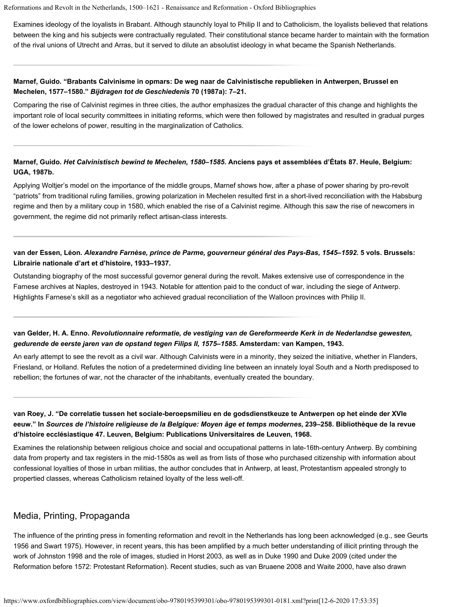Examines ideology of the loyalists in Brabant. Although staunchly loyal to Philip II and to Catholicism, the loyalists believed that relations between the king and his subjects were contractually regulated. Their constitutional stance became harder to maintain with the formation of the rival unions of Utrecht and Arras, but it served to dilute an absolutist ideology in what became the Spanish Netherlands.

#### **Marnef, Guido. "Brabants Calvinisme in opmars: De weg naar de Calvinistische republieken in Antwerpen, Brussel en Mechelen, 1577–1580."** *Bijdragen tot de Geschiedenis* **70 (1987a): 7–21.**

Comparing the rise of Calvinist regimes in three cities, the author emphasizes the gradual character of this change and highlights the important role of local security committees in initiating reforms, which were then followed by magistrates and resulted in gradual purges of the lower echelons of power, resulting in the marginalization of Catholics.

#### **Marnef, Guido.** *Het Calvinistisch bewind te Mechelen, 1580–1585***. Anciens pays et assemblées d'États 87. Heule, Belgium: UGA, 1987b.**

Applying Woltjer's model on the importance of the middle groups, Marnef shows how, after a phase of power sharing by pro-revolt "patriots" from traditional ruling families, growing polarization in Mechelen resulted first in a short-lived reconciliation with the Habsburg regime and then by a military coup in 1580, which enabled the rise of a Calvinist regime. Although this saw the rise of newcomers in government, the regime did not primarily reflect artisan-class interests.

#### **van der Essen, Léon.** *Alexandre Farnèse, prince de Parme, gouverneur général des Pays-Bas, 1545–1592***. 5 vols. Brussels: Librairie nationale d'art et d'histoire, 1933–1937.**

Outstanding biography of the most successful governor general during the revolt. Makes extensive use of correspondence in the Farnese archives at Naples, destroyed in 1943. Notable for attention paid to the conduct of war, including the siege of Antwerp. Highlights Farnese's skill as a negotiator who achieved gradual reconciliation of the Walloon provinces with Philip II.

#### **van Gelder, H. A. Enno.** *Revolutionnaire reformatie, de vestiging van de Gereformeerde Kerk in de Nederlandse gewesten, gedurende de eerste jaren van de opstand tegen Filips II, 1575–1585***. Amsterdam: van Kampen, 1943.**

An early attempt to see the revolt as a civil war. Although Calvinists were in a minority, they seized the initiative, whether in Flanders, Friesland, or Holland. Refutes the notion of a predetermined dividing line between an innately loyal South and a North predisposed to rebellion; the fortunes of war, not the character of the inhabitants, eventually created the boundary.

**van Roey, J. "De correlatie tussen het sociale-beroepsmilieu en de godsdienstkeuze te Antwerpen op het einde der XVIe eeuw." In** *Sources de l'histoire religieuse de la Belgique: Moyen âge et temps modernes***, 239–258. Bibliothèque de la revue d'histoire ecclésiastique 47. Leuven, Belgium: Publications Universitaires de Leuven, 1968.**

Examines the relationship between religious choice and social and occupational patterns in late-16th-century Antwerp. By combining data from property and tax registers in the mid-1580s as well as from lists of those who purchased citizenship with information about confessional loyalties of those in urban militias, the author concludes that in Antwerp, at least, Protestantism appealed strongly to propertied classes, whereas Catholicism retained loyalty of the less well-off.

## Media, Printing, Propaganda

The influence of the printing press in fomenting reformation and revolt in the Netherlands has long been acknowledged (e.g., see [Geurts](https://www.oxfordbibliographies.com/view/document/obo-9780195399301/obo-9780195399301-0181.xml#obo-9780195399301-0181-bibItem-0120) [1956](https://www.oxfordbibliographies.com/view/document/obo-9780195399301/obo-9780195399301-0181.xml#obo-9780195399301-0181-bibItem-0120) and [Swart 1975](https://www.oxfordbibliographies.com/view/document/obo-9780195399301/obo-9780195399301-0181.xml#obo-9780195399301-0181-bibItem-0125)). However, in recent years, this has been amplified by a much better understanding of illicit printing through the work of [Johnston 1998](https://www.oxfordbibliographies.com/view/document/obo-9780195399301/obo-9780195399301-0181.xml#obo-9780195399301-0181-bibItem-0123) and the role of images, studied in [Horst 2003,](https://www.oxfordbibliographies.com/view/document/obo-9780195399301/obo-9780195399301-0181.xml#obo-9780195399301-0181-bibItem-0121) as well as in [Duke 1990](https://www.oxfordbibliographies.com/view/document/obo-9780195399301/obo-9780195399301-0181.xml#obo-9780195399301-0181-bibItem-0055) and [Duke 2009](https://www.oxfordbibliographies.com/view/document/obo-9780195399301/obo-9780195399301-0181.xml#obo-9780195399301-0181-bibItem-0056) (cited under the [Reformation before 1572: Protestant Reformation\)](#page-1-0). Recent studies, such as [van Bruaene 2008](https://www.oxfordbibliographies.com/view/document/obo-9780195399301/obo-9780195399301-0181.xml#obo-9780195399301-0181-bibItem-0126) and [Waite 2000](https://www.oxfordbibliographies.com/view/document/obo-9780195399301/obo-9780195399301-0181.xml#obo-9780195399301-0181-bibItem-0127), have also drawn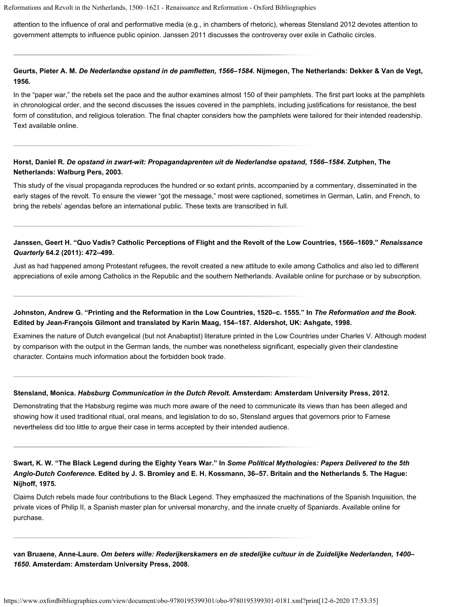attention to the influence of oral and performative media (e.g., in chambers of rhetoric), whereas [Stensland 2012](https://www.oxfordbibliographies.com/view/document/obo-9780195399301/obo-9780195399301-0181.xml#obo-9780195399301-0181-bibItem-0124) devotes attention to government attempts to influence public opinion. [Janssen 2011](https://www.oxfordbibliographies.com/view/document/obo-9780195399301/obo-9780195399301-0181.xml#obo-9780195399301-0181-bibItem-0122) discusses the controversy over exile in Catholic circles.

#### **Geurts, Pieter A. M.** *De Nederlandse opstand in de pamfletten, 1566–1584***. Nijmegen, The Netherlands: Dekker & Van de Vegt, 1956.**

In the "paper war," the rebels set the pace and the author examines almost 150 of their pamphlets. The first part looks at the pamphlets in chronological order, and the second discusses the issues covered in the pamphlets, including justifications for resistance, the best form of constitution, and religious toleration. The final chapter considers how the pamphlets were tailored for their intended readership. Text available [online](http://www.dbnl.org/tekst/geur004nede01_01/).

#### **Horst, Daniel R.** *De opstand in zwart-wit: Propagandaprenten uit de Nederlandse opstand, 1566–1584***. Zutphen, The Netherlands: Walburg Pers, 2003.**

This study of the visual propaganda reproduces the hundred or so extant prints, accompanied by a commentary, disseminated in the early stages of the revolt. To ensure the viewer "got the message," most were captioned, sometimes in German, Latin, and French, to bring the rebels' agendas before an international public. These texts are transcribed in full.

#### **Janssen, Geert H. "Quo Vadis? Catholic Perceptions of Flight and the Revolt of the Low Countries, 1566–1609."** *Renaissance Quarterly* **64.2 (2011): 472–499.**

Just as had happened among Protestant refugees, the revolt created a new attitude to exile among Catholics and also led to different appreciations of exile among Catholics in the Republic and the southern Netherlands. Available [online](https://www.cambridge.org/core/journals/renaissance-quarterly) for purchase or by subscription.

#### **Johnston, Andrew G. "Printing and the Reformation in the Low Countries, 1520–c. 1555." In** *The Reformation and the Book***. Edited by Jean-François Gilmont and translated by Karin Maag, 154–187. Aldershot, UK: Ashgate, 1998.**

Examines the nature of Dutch evangelical (but not Anabaptist) literature printed in the Low Countries under Charles V. Although modest by comparison with the output in the German lands, the number was nonetheless significant, especially given their clandestine character. Contains much information about the forbidden book trade.

#### **Stensland, Monica.** *Habsburg Communication in the Dutch Revolt***. Amsterdam: Amsterdam University Press, 2012.**

Demonstrating that the Habsburg regime was much more aware of the need to communicate its views than has been alleged and showing how it used traditional ritual, oral means, and legislation to do so, Stensland argues that governors prior to Farnese nevertheless did too little to argue their case in terms accepted by their intended audience.

### **Swart, K. W. "The Black Legend during the Eighty Years War." In** *Some Political Mythologies: Papers Delivered to the 5th Anglo-Dutch Conference***. Edited by J. S. Bromley and E. H. Kossmann, 36–57. Britain and the Netherlands 5. The Hague: Nijhoff, 1975.**

Claims Dutch rebels made four contributions to the Black Legend. They emphasized the machinations of the Spanish Inquisition, the private vices of Philip II, a Spanish master plan for universal monarchy, and the innate cruelty of Spaniards. Available [online](http://link.springer.com/chapter/10.1007%2F978-94-010-1361-1_3) for purchase.

**van Bruaene, Anne-Laure.** *Om beters wille: Rederijkerskamers en de stedelijke cultuur in de Zuidelijke Nederlanden, 1400– 1650***. Amsterdam: Amsterdam University Press, 2008.**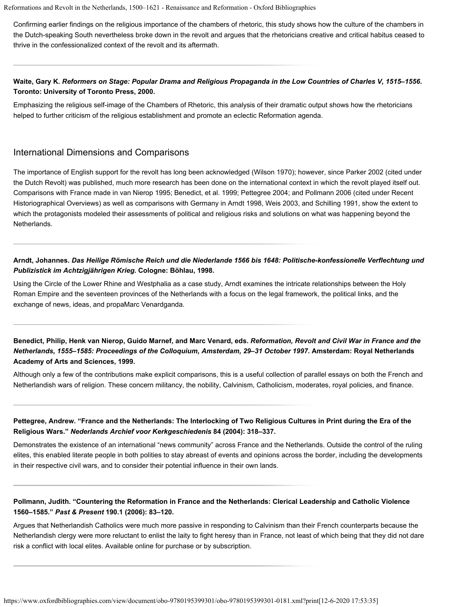Confirming earlier findings on the religious importance of the chambers of rhetoric, this study shows how the culture of the chambers in the Dutch-speaking South nevertheless broke down in the revolt and argues that the rhetoricians creative and critical habitus ceased to thrive in the confessionalized context of the revolt and its aftermath.

#### **Waite, Gary K.** *Reformers on Stage: Popular Drama and Religious Propaganda in the Low Countries of Charles V, 1515–1556***. Toronto: University of Toronto Press, 2000.**

Emphasizing the religious self-image of the Chambers of Rhetoric, this analysis of their dramatic output shows how the rhetoricians helped to further criticism of the religious establishment and promote an eclectic Reformation agenda.

#### International Dimensions and Comparisons

The importance of English support for the revolt has long been acknowledged [\(Wilson 1970](https://www.oxfordbibliographies.com/view/document/obo-9780195399301/obo-9780195399301-0181.xml#obo-9780195399301-0181-bibItem-0135)); however, since [Parker 2002](https://www.oxfordbibliographies.com/view/document/obo-9780195399301/obo-9780195399301-0181.xml#obo-9780195399301-0181-bibItem-0081) (cited under the [Dutch Revolt](#page-1-0)) was published, much more research has been done on the international context in which the revolt played itself out. Comparisons with France made in [van Nierop 1995](https://www.oxfordbibliographies.com/view/document/obo-9780195399301/obo-9780195399301-0181.xml#obo-9780195399301-0181-bibItem-0133); [Benedict, et al. 1999;](https://www.oxfordbibliographies.com/view/document/obo-9780195399301/obo-9780195399301-0181.xml#obo-9780195399301-0181-bibItem-0129) [Pettegree 2004;](https://www.oxfordbibliographies.com/view/document/obo-9780195399301/obo-9780195399301-0181.xml#obo-9780195399301-0181-bibItem-0130) and [Pollmann 2006](https://www.oxfordbibliographies.com/view/document/obo-9780195399301/obo-9780195399301-0181.xml#obo-9780195399301-0181-bibItem-0035) (cited under [Recent](#page-1-0) [Historiographical Overviews](#page-1-0)) as well as comparisons with Germany in [Arndt 1998](https://www.oxfordbibliographies.com/view/document/obo-9780195399301/obo-9780195399301-0181.xml#obo-9780195399301-0181-bibItem-0128), [Weis 2003](https://www.oxfordbibliographies.com/view/document/obo-9780195399301/obo-9780195399301-0181.xml#obo-9780195399301-0181-bibItem-0134), and [Schilling 1991](https://www.oxfordbibliographies.com/view/document/obo-9780195399301/obo-9780195399301-0181.xml#obo-9780195399301-0181-bibItem-0132), show the extent to which the protagonists modeled their assessments of political and religious risks and solutions on what was happening beyond the Netherlands.

#### **Arndt, Johannes.** *Das Heilige Römische Reich und die Niederlande 1566 bis 1648: Politische-konfessionelle Verflechtung und Publizistick im Achtzigjährigen Krieg***. Cologne: Böhlau, 1998.**

Using the Circle of the Lower Rhine and Westphalia as a case study, Arndt examines the intricate relationships between the Holy Roman Empire and the seventeen provinces of the Netherlands with a focus on the legal framework, the political links, and the exchange of news, ideas, and propaMarc Venardganda.

**Benedict, Philip, Henk van Nierop, Guido Marnef, and Marc Venard, eds.** *Reformation, Revolt and Civil War in France and the Netherlands, 1555–1585: Proceedings of the Colloquium, Amsterdam, 29–31 October 1997***. Amsterdam: Royal Netherlands Academy of Arts and Sciences, 1999.**

Although only a few of the contributions make explicit comparisons, this is a useful collection of parallel essays on both the French and Netherlandish wars of religion. These concern militancy, the nobility, Calvinism, Catholicism, moderates, royal policies, and finance.

### **Pettegree, Andrew. "France and the Netherlands: The Interlocking of Two Religious Cultures in Print during the Era of the Religious Wars."** *Nederlands Archief voor Kerkgeschiedenis* **84 (2004): 318–337.**

Demonstrates the existence of an international "news community" across France and the Netherlands. Outside the control of the ruling elites, this enabled literate people in both polities to stay abreast of events and opinions across the border, including the developments in their respective civil wars, and to consider their potential influence in their own lands.

#### **Pollmann, Judith. "Countering the Reformation in France and the Netherlands: Clerical Leadership and Catholic Violence 1560–1585."** *Past & Present* **190.1 (2006): 83–120.**

Argues that Netherlandish Catholics were much more passive in responding to Calvinism than their French counterparts because the Netherlandish clergy were more reluctant to enlist the laity to fight heresy than in France, not least of which being that they did not dare risk a conflict with local elites. Available [online](http://past.oxfordjournals.org/content/190/1/83) for purchase or by subscription.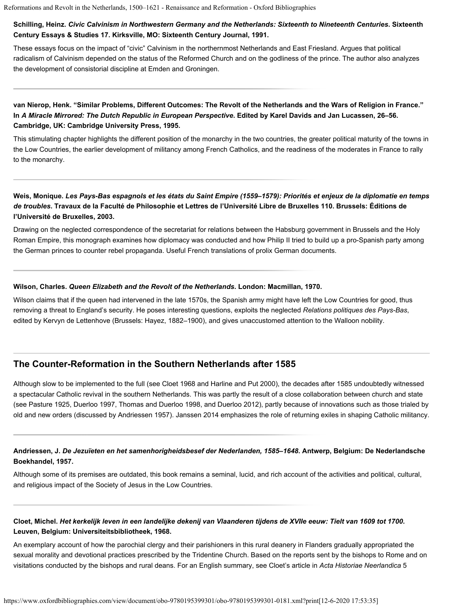#### **Schilling, Heinz.** *Civic Calvinism in Northwestern Germany and the Netherlands: Sixteenth to Nineteenth Centuries***. Sixteenth Century Essays & Studies 17. Kirksville, MO: Sixteenth Century Journal, 1991.**

These essays focus on the impact of "civic" Calvinism in the northernmost Netherlands and East Friesland. Argues that political radicalism of Calvinism depended on the status of the Reformed Church and on the godliness of the prince. The author also analyzes the development of consistorial discipline at Emden and Groningen.

### **van Nierop, Henk. "Similar Problems, Different Outcomes: The Revolt of the Netherlands and the Wars of Religion in France." In** *A Miracle Mirrored: The Dutch Republic in European Perspective***. Edited by Karel Davids and Jan Lucassen, 26–56. Cambridge, UK: Cambridge University Press, 1995.**

This stimulating chapter highlights the different position of the monarchy in the two countries, the greater political maturity of the towns in the Low Countries, the earlier development of militancy among French Catholics, and the readiness of the moderates in France to rally to the monarchy.

### **Weis, Monique.** *Les Pays-Bas espagnols et les états du Saint Empire (1559–1579): Priorités et enjeux de la diplomatie en temps de troubles***. Travaux de la Faculté de Philosophie et Lettres de l'Université Libre de Bruxelles 110. Brussels: Éditions de l'Université de Bruxelles, 2003.**

Drawing on the neglected correspondence of the secretariat for relations between the Habsburg government in Brussels and the Holy Roman Empire, this monograph examines how diplomacy was conducted and how Philip II tried to build up a pro-Spanish party among the German princes to counter rebel propaganda. Useful French translations of prolix German documents.

#### **Wilson, Charles.** *Queen Elizabeth and the Revolt of the Netherlands***. London: Macmillan, 1970.**

Wilson claims that if the queen had intervened in the late 1570s, the Spanish army might have left the Low Countries for good, thus removing a threat to England's security. He poses interesting questions, exploits the neglected *Relations politiques des Pays-Bas*, edited by Kervyn de Lettenhove (Brussels: Hayez, 1882–1900), and gives unaccustomed attention to the Walloon nobility.

## **The Counter-Reformation in the Southern Netherlands after 1585**

Although slow to be implemented to the full (see [Cloet 1968](https://www.oxfordbibliographies.com/view/document/obo-9780195399301/obo-9780195399301-0181.xml#obo-9780195399301-0181-bibItem-0137) and [Harline and Put 2000](https://www.oxfordbibliographies.com/view/document/obo-9780195399301/obo-9780195399301-0181.xml#obo-9780195399301-0181-bibItem-0140)), the decades after 1585 undoubtedly witnessed a spectacular Catholic revival in the southern Netherlands. This was partly the result of a close collaboration between church and state (see [Pasture 1925](https://www.oxfordbibliographies.com/view/document/obo-9780195399301/obo-9780195399301-0181.xml#obo-9780195399301-0181-bibItem-0142), [Duerloo 1997](https://www.oxfordbibliographies.com/view/document/obo-9780195399301/obo-9780195399301-0181.xml#obo-9780195399301-0181-bibItem-0138), [Thomas and Duerloo 1998,](https://www.oxfordbibliographies.com/view/document/obo-9780195399301/obo-9780195399301-0181.xml#obo-9780195399301-0181-bibItem-0143) and [Duerloo 2012](https://www.oxfordbibliographies.com/view/document/obo-9780195399301/obo-9780195399301-0181.xml#obo-9780195399301-0181-bibItem-0139)), partly because of innovations such as those trialed by old and new orders (discussed by [Andriessen 1957\)](https://www.oxfordbibliographies.com/view/document/obo-9780195399301/obo-9780195399301-0181.xml#obo-9780195399301-0181-bibItem-0136). [Janssen 2014](https://www.oxfordbibliographies.com/view/document/obo-9780195399301/obo-9780195399301-0181.xml#obo-9780195399301-0181-bibItem-0141) emphasizes the role of returning exiles in shaping Catholic militancy.

#### **Andriessen, J.** *De Jezuïeten en het samenhorigheidsbesef der Nederlanden, 1585–1648***. Antwerp, Belgium: De Nederlandsche Boekhandel, 1957.**

Although some of its premises are outdated, this book remains a seminal, lucid, and rich account of the activities and political, cultural, and religious impact of the Society of Jesus in the Low Countries.

### **Cloet, Michel.** *Het kerkelijk leven in een landelijke dekenij van Vlaanderen tijdens de XVIIe eeuw: Tielt van 1609 tot 1700***. Leuven, Belgium: Universiteitsbibliotheek, 1968.**

An exemplary account of how the parochial clergy and their parishioners in this rural deanery in Flanders gradually appropriated the sexual morality and devotional practices prescribed by the Tridentine Church. Based on the reports sent by the bishops to Rome and on visitations conducted by the bishops and rural deans. For an English summary, see Cloet's article in *Acta Historiae Neerlandica* 5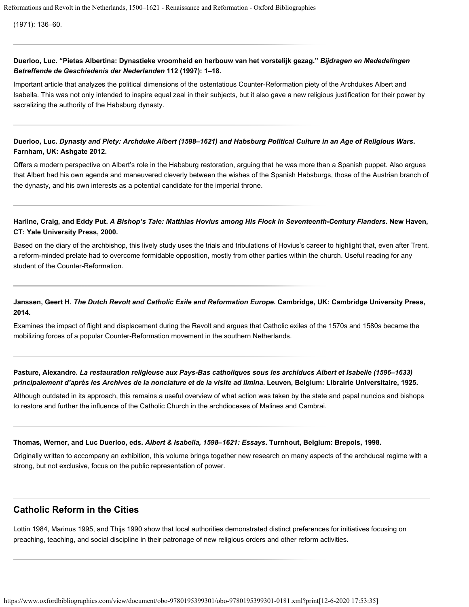(1971): 136–60.

#### **Duerloo, Luc. ["Pietas Albertina: Dynastieke vroomheid en herbouw van het vorstelijk gezag](http://www.bmgn-lchr.nl/index.php/bmgn/article/view/4394/4448)."** *Bijdragen en Mededelingen Betreffende de Geschiedenis der Nederlanden* **112 (1997): 1–18.**

Important article that analyzes the political dimensions of the ostentatious Counter-Reformation piety of the Archdukes Albert and Isabella. This was not only intended to inspire equal zeal in their subjects, but it also gave a new religious justification for their power by sacralizing the authority of the Habsburg dynasty.

### **Duerloo, Luc.** *Dynasty and Piety: Archduke Albert (1598–1621) and Habsburg Political Culture in an Age of Religious Wars***. Farnham, UK: Ashgate 2012.**

Offers a modern perspective on Albert's role in the Habsburg restoration, arguing that he was more than a Spanish puppet. Also argues that Albert had his own agenda and maneuvered cleverly between the wishes of the Spanish Habsburgs, those of the Austrian branch of the dynasty, and his own interests as a potential candidate for the imperial throne.

#### **Harline, Craig, and Eddy Put.** *A Bishop's Tale: Matthias Hovius among His Flock in Seventeenth-Century Flanders***. New Haven, CT: Yale University Press, 2000.**

Based on the diary of the archbishop, this lively study uses the trials and tribulations of Hovius's career to highlight that, even after Trent, a reform-minded prelate had to overcome formidable opposition, mostly from other parties within the church. Useful reading for any student of the Counter-Reformation.

#### **Janssen, Geert H.** *The Dutch Revolt and Catholic Exile and Reformation Europe***. Cambridge, UK: Cambridge University Press, 2014.**

Examines the impact of flight and displacement during the Revolt and argues that Catholic exiles of the 1570s and 1580s became the mobilizing forces of a popular Counter-Reformation movement in the southern Netherlands.

#### **Pasture, Alexandre.** *La restauration religieuse aux Pays-Bas catholiques sous les archiducs Albert et Isabelle (1596–1633) principalement d'après les Archives de la nonciature et de la visite ad limina***. Leuven, Belgium: Librairie Universitaire, 1925.**

Although outdated in its approach, this remains a useful overview of what action was taken by the state and papal nuncios and bishops to restore and further the influence of the Catholic Church in the archdioceses of Malines and Cambrai.

#### **Thomas, Werner, and Luc Duerloo, eds.** *Albert & Isabella, 1598–1621: Essays***. Turnhout, Belgium: Brepols, 1998.**

Originally written to accompany an exhibition, this volume brings together new research on many aspects of the archducal regime with a strong, but not exclusive, focus on the public representation of power.

## **Catholic Reform in the Cities**

[Lottin 1984](https://www.oxfordbibliographies.com/view/document/obo-9780195399301/obo-9780195399301-0181.xml#obo-9780195399301-0181-bibItem-0144), [Marinus 1995](https://www.oxfordbibliographies.com/view/document/obo-9780195399301/obo-9780195399301-0181.xml#obo-9780195399301-0181-bibItem-0145), and [Thijs 1990](https://www.oxfordbibliographies.com/view/document/obo-9780195399301/obo-9780195399301-0181.xml#obo-9780195399301-0181-bibItem-0146) show that local authorities demonstrated distinct preferences for initiatives focusing on preaching, teaching, and social discipline in their patronage of new religious orders and other reform activities.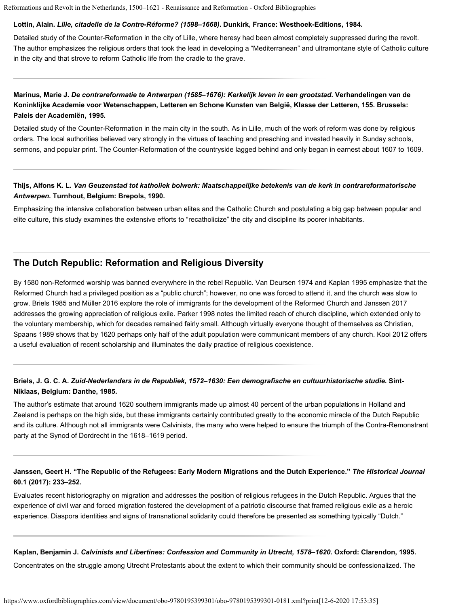#### **Lottin, Alain.** *Lille, citadelle de la Contre-Réforme? (1598–1668)***. Dunkirk, France: Westhoek-Editions, 1984.**

Detailed study of the Counter-Reformation in the city of Lille, where heresy had been almost completely suppressed during the revolt. The author emphasizes the religious orders that took the lead in developing a "Mediterranean" and ultramontane style of Catholic culture in the city and that strove to reform Catholic life from the cradle to the grave.

### **Marinus, Marie J.** *De contrareformatie te Antwerpen (1585–1676): Kerkelijk leven in een grootstad***. Verhandelingen van de Koninklijke Academie voor Wetenschappen, Letteren en Schone Kunsten van België, Klasse der Letteren, 155. Brussels: Paleis der Academiën, 1995.**

Detailed study of the Counter-Reformation in the main city in the south. As in Lille, much of the work of reform was done by religious orders. The local authorities believed very strongly in the virtues of teaching and preaching and invested heavily in Sunday schools, sermons, and popular print. The Counter-Reformation of the countryside lagged behind and only began in earnest about 1607 to 1609.

#### **Thijs, Alfons K. L.** *Van Geuzenstad tot katholiek bolwerk: Maatschappelijke betekenis van de kerk in contrareformatorische Antwerpen***. Turnhout, Belgium: Brepols, 1990.**

Emphasizing the intensive collaboration between urban elites and the Catholic Church and postulating a big gap between popular and elite culture, this study examines the extensive efforts to "recatholicize" the city and discipline its poorer inhabitants.

## **The Dutch Republic: Reformation and Religious Diversity**

By 1580 non-Reformed worship was banned everywhere in the rebel Republic. [Van Deursen 1974](https://www.oxfordbibliographies.com/view/document/obo-9780195399301/obo-9780195399301-0181.xml#obo-9780195399301-0181-bibItem-0154) and [Kaplan 1995](https://www.oxfordbibliographies.com/view/document/obo-9780195399301/obo-9780195399301-0181.xml#obo-9780195399301-0181-bibItem-0149) emphasize that the Reformed Church had a privileged position as a "public church"; however, no one was forced to attend it, and the church was slow to grow. [Briels 1985](https://www.oxfordbibliographies.com/view/document/obo-9780195399301/obo-9780195399301-0181.xml#obo-9780195399301-0181-bibItem-0147) and [Müller 2016](https://www.oxfordbibliographies.com/view/document/obo-9780195399301/obo-9780195399301-0181.xml#obo-9780195399301-0181-bibItem-0151) explore the role of immigrants for the development of the Reformed Church and [Janssen 2017](https://www.oxfordbibliographies.com/view/document/obo-9780195399301/obo-9780195399301-0181.xml#obo-9780195399301-0181-bibItem-0148) addresses the growing appreciation of religious exile. [Parker 1998](https://www.oxfordbibliographies.com/view/document/obo-9780195399301/obo-9780195399301-0181.xml#obo-9780195399301-0181-bibItem-0152) notes the limited reach of church discipline, which extended only to the voluntary membership, which for decades remained fairly small. Although virtually everyone thought of themselves as Christian, [Spaans 1989](https://www.oxfordbibliographies.com/view/document/obo-9780195399301/obo-9780195399301-0181.xml#obo-9780195399301-0181-bibItem-0153) shows that by 1620 perhaps only half of the adult population were communicant members of any church. [Kooi 2012](https://www.oxfordbibliographies.com/view/document/obo-9780195399301/obo-9780195399301-0181.xml#obo-9780195399301-0181-bibItem-0150) offers a useful evaluation of recent scholarship and illuminates the daily practice of religious coexistence.

### **Briels, J. G. C. A.** *Zuid-Nederlanders in de Republiek, 1572–1630: Een demografische en cultuurhistorische studie***. Sint-Niklaas, Belgium: Danthe, 1985.**

The author's estimate that around 1620 southern immigrants made up almost 40 percent of the urban populations in Holland and Zeeland is perhaps on the high side, but these immigrants certainly contributed greatly to the economic miracle of the Dutch Republic and its culture. Although not all immigrants were Calvinists, the many who were helped to ensure the triumph of the Contra-Remonstrant party at the Synod of Dordrecht in the 1618–1619 period.

#### **Janssen, Geert H. "The Republic of the Refugees: Early Modern Migrations and the Dutch Experience."** *The Historical Journal* **60.1 (2017): 233–252.**

Evaluates recent historiography on migration and addresses the position of religious refugees in the Dutch Republic. Argues that the experience of civil war and forced migration fostered the development of a patriotic discourse that framed religious exile as a heroic experience. Diaspora identities and signs of transnational solidarity could therefore be presented as something typically "Dutch."

**Kaplan, Benjamin J.** *Calvinists and Libertines: Confession and Community in Utrecht, 1578–1620***. Oxford: Clarendon, 1995.**

Concentrates on the struggle among Utrecht Protestants about the extent to which their community should be confessionalized. The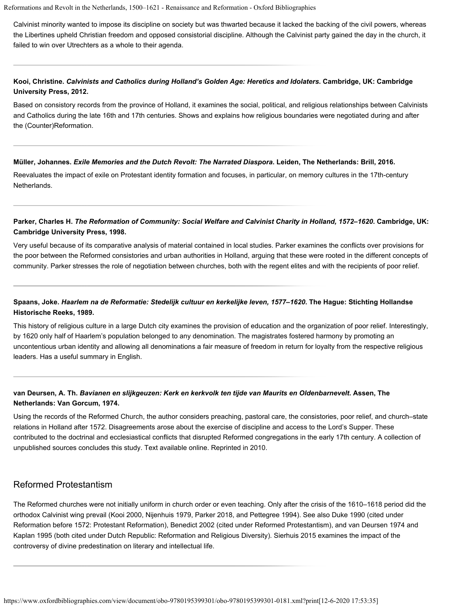Calvinist minority wanted to impose its discipline on society but was thwarted because it lacked the backing of the civil powers, whereas the Libertines upheld Christian freedom and opposed consistorial discipline. Although the Calvinist party gained the day in the church, it failed to win over Utrechters as a whole to their agenda.

### **Kooi, Christine.** *Calvinists and Catholics during Holland's Golden Age: Heretics and Idolaters***. Cambridge, UK: Cambridge University Press, 2012.**

Based on consistory records from the province of Holland, it examines the social, political, and religious relationships between Calvinists and Catholics during the late 16th and 17th centuries. Shows and explains how religious boundaries were negotiated during and after the (Counter)Reformation.

#### **Müller, Johannes.** *Exile Memories and the Dutch Revolt: The Narrated Diaspora***. Leiden, The Netherlands: Brill, 2016.**

Reevaluates the impact of exile on Protestant identity formation and focuses, in particular, on memory cultures in the 17th-century Netherlands.

#### **Parker, Charles H.** *The Reformation of Community: Social Welfare and Calvinist Charity in Holland, 1572–1620***. Cambridge, UK: Cambridge University Press, 1998.**

Very useful because of its comparative analysis of material contained in local studies. Parker examines the conflicts over provisions for the poor between the Reformed consistories and urban authorities in Holland, arguing that these were rooted in the different concepts of community. Parker stresses the role of negotiation between churches, both with the regent elites and with the recipients of poor relief.

### **Spaans, Joke.** *Haarlem na de Reformatie: Stedelijk cultuur en kerkelijke leven, 1577–1620***. The Hague: Stichting Hollandse Historische Reeks, 1989.**

This history of religious culture in a large Dutch city examines the provision of education and the organization of poor relief. Interestingly, by 1620 only half of Haarlem's population belonged to any denomination. The magistrates fostered harmony by promoting an uncontentious urban identity and allowing all denominations a fair measure of freedom in return for loyalty from the respective religious leaders. Has a useful summary in English.

#### **van Deursen, A. Th.** *Bavianen en slijkgeuzen: Kerk en kerkvolk ten tijde van Maurits en Oldenbarnevelt***. Assen, The Netherlands: Van Gorcum, 1974.**

Using the records of the Reformed Church, the author considers preaching, pastoral care, the consistories, poor relief, and church–state relations in Holland after 1572. Disagreements arose about the exercise of discipline and access to the Lord's Supper. These contributed to the doctrinal and ecclesiastical conflicts that disrupted Reformed congregations in the early 17th century. A collection of unpublished sources concludes this study. Text available [online](http://www.dbnl.org/tekst/deur002bavi01_01/). Reprinted in 2010.

### Reformed Protestantism

The Reformed churches were not initially uniform in church order or even teaching. Only after the crisis of the 1610–1618 period did the orthodox Calvinist wing prevail [\(Kooi 2000](https://www.oxfordbibliographies.com/view/document/obo-9780195399301/obo-9780195399301-0181.xml#obo-9780195399301-0181-bibItem-0155), [Nijenhuis 1979](https://www.oxfordbibliographies.com/view/document/obo-9780195399301/obo-9780195399301-0181.xml#obo-9780195399301-0181-bibItem-0156), [Parker 2018,](https://www.oxfordbibliographies.com/view/document/obo-9780195399301/obo-9780195399301-0181.xml#obo-9780195399301-0181-bibItem-0157) and [Pettegree 1994\)](https://www.oxfordbibliographies.com/view/document/obo-9780195399301/obo-9780195399301-0181.xml#obo-9780195399301-0181-bibItem-0158). See also [Duke 1990](https://www.oxfordbibliographies.com/view/document/obo-9780195399301/obo-9780195399301-0181.xml#obo-9780195399301-0181-bibItem-0055) (cited under [Reformation before 1572: Protestant Reformation\)](#page-1-0), [Benedict 2002](https://www.oxfordbibliographies.com/view/document/obo-9780195399301/obo-9780195399301-0181.xml#obo-9780195399301-0181-bibItem-0065) (cited under [Reformed Protestantism\)](#page-1-0), and [van Deursen 1974](https://www.oxfordbibliographies.com/view/document/obo-9780195399301/obo-9780195399301-0181.xml#obo-9780195399301-0181-bibItem-0154) and [Kaplan 1995](https://www.oxfordbibliographies.com/view/document/obo-9780195399301/obo-9780195399301-0181.xml#obo-9780195399301-0181-bibItem-0149) (both cited under [Dutch Republic: Reformation and Religious Diversity\)](#page-1-0). [Sierhuis 2015](https://www.oxfordbibliographies.com/view/document/obo-9780195399301/obo-9780195399301-0181.xml#obo-9780195399301-0181-bibItem-0159) examines the impact of the controversy of divine predestination on literary and intellectual life.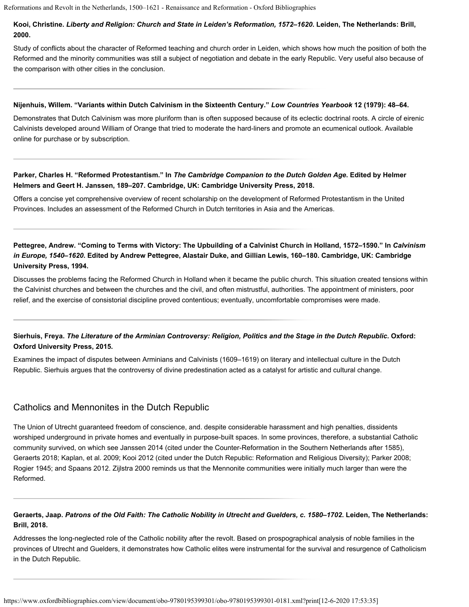### **Kooi, Christine.** *Liberty and Religion: Church and State in Leiden's Reformation, 1572–1620***. Leiden, The Netherlands: Brill, 2000.**

Study of conflicts about the character of Reformed teaching and church order in Leiden, which shows how much the position of both the Reformed and the minority communities was still a subject of negotiation and debate in the early Republic. Very useful also because of the comparison with other cities in the conclusion.

#### **Nijenhuis, Willem. "Variants within Dutch Calvinism in the Sixteenth Century."** *Low Countries Yearbook* **12 (1979): 48–64.**

Demonstrates that Dutch Calvinism was more pluriform than is often supposed because of its eclectic doctrinal roots. A circle of eirenic Calvinists developed around William of Orange that tried to moderate the hard-liners and promote an ecumenical outlook. Available [online](http://link.springer.com/chapter/10.1007%2F978-94-011-6803-8_3) for purchase or by subscription.

#### **Parker, Charles H. "Reformed Protestantism." In** *The Cambridge Companion to the Dutch Golden Age***. Edited by Helmer Helmers and Geert H. Janssen, 189–207. Cambridge, UK: Cambridge University Press, 2018.**

Offers a concise yet comprehensive overview of recent scholarship on the development of Reformed Protestantism in the United Provinces. Includes an assessment of the Reformed Church in Dutch territories in Asia and the Americas.

## **Pettegree, Andrew. "Coming to Terms with Victory: The Upbuilding of a Calvinist Church in Holland, 1572–1590." In** *Calvinism in Europe, 1540–1620***. Edited by Andrew Pettegree, Alastair Duke, and Gillian Lewis, 160–180. Cambridge, UK: Cambridge University Press, 1994.**

Discusses the problems facing the Reformed Church in Holland when it became the public church. This situation created tensions within the Calvinist churches and between the churches and the civil, and often mistrustful, authorities. The appointment of ministers, poor relief, and the exercise of consistorial discipline proved contentious; eventually, uncomfortable compromises were made.

### **Sierhuis, Freya.** *The Literature of the Arminian Controversy: Religion, Politics and the Stage in the Dutch Republic***. Oxford: Oxford University Press, 2015.**

Examines the impact of disputes between Arminians and Calvinists (1609–1619) on literary and intellectual culture in the Dutch Republic. Sierhuis argues that the controversy of divine predestination acted as a catalyst for artistic and cultural change.

## Catholics and Mennonites in the Dutch Republic

The Union of Utrecht guaranteed freedom of conscience, and. despite considerable harassment and high penalties, dissidents worshiped underground in private homes and eventually in purpose-built spaces. In some provinces, therefore, a substantial Catholic community survived, on which see [Janssen 2014](https://www.oxfordbibliographies.com/view/document/obo-9780195399301/obo-9780195399301-0181.xml#obo-9780195399301-0181-bibItem-0141) (cited under the [Counter-Reformation in the Southern Netherlands after 1585](#page-1-0)), [Geraerts 2018](https://www.oxfordbibliographies.com/view/document/obo-9780195399301/obo-9780195399301-0181.xml#obo-9780195399301-0181-bibItem-0160); [Kaplan, et al. 2009](https://www.oxfordbibliographies.com/view/document/obo-9780195399301/obo-9780195399301-0181.xml#obo-9780195399301-0181-bibItem-0161); [Kooi 2012](https://www.oxfordbibliographies.com/view/document/obo-9780195399301/obo-9780195399301-0181.xml#obo-9780195399301-0181-bibItem-0150) (cited under the [Dutch Republic: Reformation and Religious Diversity](#page-1-0)); [Parker 2008](https://www.oxfordbibliographies.com/view/document/obo-9780195399301/obo-9780195399301-0181.xml#obo-9780195399301-0181-bibItem-0162); [Rogier 1945;](https://www.oxfordbibliographies.com/view/document/obo-9780195399301/obo-9780195399301-0181.xml#obo-9780195399301-0181-bibItem-0163) and [Spaans 2012](https://www.oxfordbibliographies.com/view/document/obo-9780195399301/obo-9780195399301-0181.xml#obo-9780195399301-0181-bibItem-0164). [Zijlstra 2000](https://www.oxfordbibliographies.com/view/document/obo-9780195399301/obo-9780195399301-0181.xml#obo-9780195399301-0181-bibItem-0165) reminds us that the Mennonite communities were initially much larger than were the Reformed.

### **Geraerts, Jaap.** *Patrons of the Old Faith: The Catholic Nobility in Utrecht and Guelders, c. 1580–1702***. Leiden, The Netherlands: Brill, 2018.**

Addresses the long-neglected role of the Catholic nobility after the revolt. Based on prospographical analysis of noble families in the provinces of Utrecht and Guelders, it demonstrates how Catholic elites were instrumental for the survival and resurgence of Catholicism in the Dutch Republic.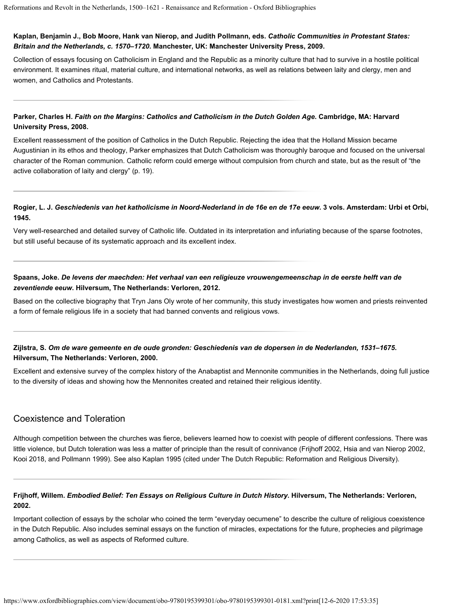#### **Kaplan, Benjamin J., Bob Moore, Hank van Nierop, and Judith Pollmann, eds.** *Catholic Communities in Protestant States: Britain and the Netherlands, c. 1570–1720***. Manchester, UK: Manchester University Press, 2009.**

Collection of essays focusing on Catholicism in England and the Republic as a minority culture that had to survive in a hostile political environment. It examines ritual, material culture, and international networks, as well as relations between laity and clergy, men and women, and Catholics and Protestants.

#### **Parker, Charles H.** *Faith on the Margins: Catholics and Catholicism in the Dutch Golden Age***. Cambridge, MA: Harvard University Press, 2008.**

Excellent reassessment of the position of Catholics in the Dutch Republic. Rejecting the idea that the Holland Mission became Augustinian in its ethos and theology, Parker emphasizes that Dutch Catholicism was thoroughly baroque and focused on the universal character of the Roman communion. Catholic reform could emerge without compulsion from church and state, but as the result of "the active collaboration of laity and clergy" (p. 19).

#### **Rogier, L. J.** *Geschiedenis van het katholicisme in Noord-Nederland in de 16e en de 17e eeuw***. 3 vols. Amsterdam: Urbi et Orbi, 1945.**

Very well-researched and detailed survey of Catholic life. Outdated in its interpretation and infuriating because of the sparse footnotes, but still useful because of its systematic approach and its excellent index.

#### **Spaans, Joke.** *De levens der maechden: Het verhaal van een religieuze vrouwengemeenschap in de eerste helft van de zeventiende eeuw***. Hilversum, The Netherlands: Verloren, 2012.**

Based on the collective biography that Tryn Jans Oly wrote of her community, this study investigates how women and priests reinvented a form of female religious life in a society that had banned convents and religious vows.

### **Zijlstra, S.** *Om de ware gemeente en de oude gronden: Geschiedenis van de dopersen in de Nederlanden, 1531–1675***. Hilversum, The Netherlands: Verloren, 2000.**

Excellent and extensive survey of the complex history of the Anabaptist and Mennonite communities in the Netherlands, doing full justice to the diversity of ideas and showing how the Mennonites created and retained their religious identity.

## Coexistence and Toleration

Although competition between the churches was fierce, believers learned how to coexist with people of different confessions. There was little violence, but Dutch toleration was less a matter of principle than the result of connivance [\(Frijhoff 2002](https://www.oxfordbibliographies.com/view/document/obo-9780195399301/obo-9780195399301-0181.xml#obo-9780195399301-0181-bibItem-0166), [Hsia and van Nierop 2002](https://www.oxfordbibliographies.com/view/document/obo-9780195399301/obo-9780195399301-0181.xml#obo-9780195399301-0181-bibItem-0167), [Kooi 2018,](https://www.oxfordbibliographies.com/view/document/obo-9780195399301/obo-9780195399301-0181.xml#obo-9780195399301-0181-bibItem-0168) and [Pollmann 1999\)](https://www.oxfordbibliographies.com/view/document/obo-9780195399301/obo-9780195399301-0181.xml#obo-9780195399301-0181-bibItem-0169). See also [Kaplan 1995](https://www.oxfordbibliographies.com/view/document/obo-9780195399301/obo-9780195399301-0181.xml#obo-9780195399301-0181-bibItem-0149) (cited under [The Dutch Republic: Reformation and Religious Diversity](#page-1-0)).

#### **Frijhoff, Willem.** *Embodied Belief: Ten Essays on Religious Culture in Dutch History***. Hilversum, The Netherlands: Verloren, 2002.**

Important collection of essays by the scholar who coined the term "everyday oecumene" to describe the culture of religious coexistence in the Dutch Republic. Also includes seminal essays on the function of miracles, expectations for the future, prophecies and pilgrimage among Catholics, as well as aspects of Reformed culture.